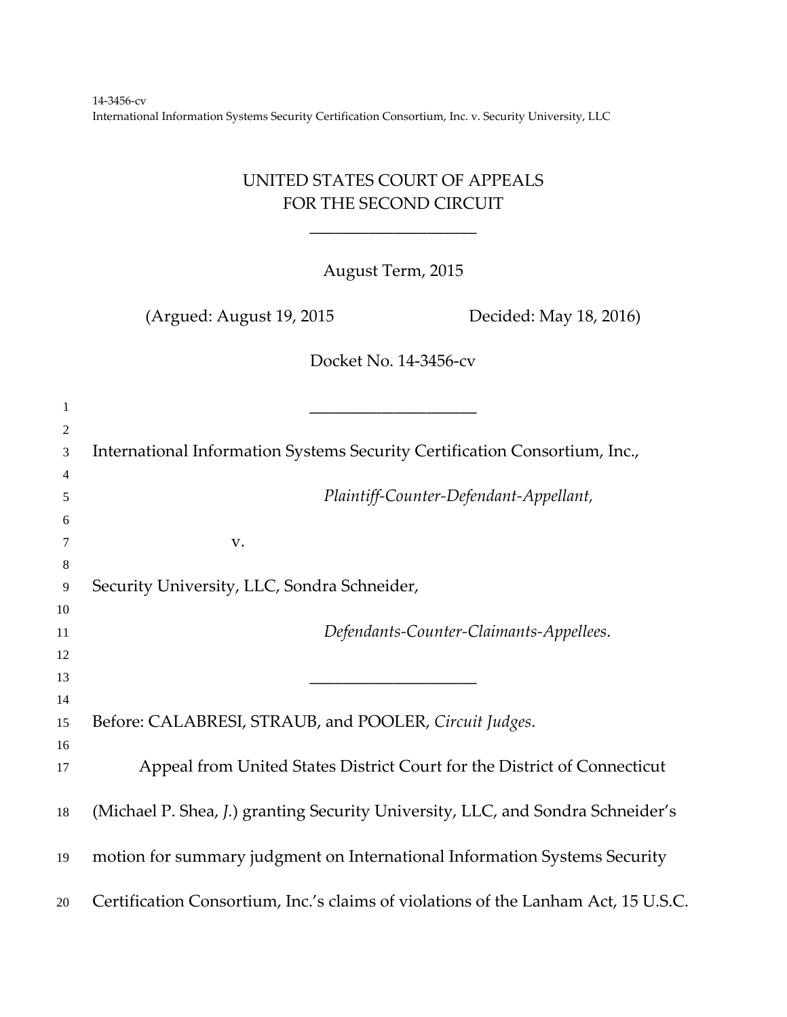## UNITED STATES COURT OF APPEALS FOR THE SECOND CIRCUIT

\_\_\_\_\_\_\_\_\_\_\_\_\_\_\_\_\_\_\_\_

August Term, 2015

(Argued: August 19, 2015 Decided: May 18, 2016)

Docket No. 14‐3456‐cv

| $\mathbf{1}$   |                                                                                    |
|----------------|------------------------------------------------------------------------------------|
| $\overline{2}$ |                                                                                    |
| 3              | International Information Systems Security Certification Consortium, Inc.,         |
| 4              |                                                                                    |
| 5              | Plaintiff-Counter-Defendant-Appellant,                                             |
| 6              |                                                                                    |
| 7              | V.                                                                                 |
| 8              |                                                                                    |
| 9              | Security University, LLC, Sondra Schneider,                                        |
| 10             |                                                                                    |
| 11             | Defendants-Counter-Claimants-Appellees.                                            |
| 12             |                                                                                    |
| 13             |                                                                                    |
| 14             |                                                                                    |
| 15             | Before: CALABRESI, STRAUB, and POOLER, Circuit Judges.                             |
| 16             |                                                                                    |
| 17             | Appeal from United States District Court for the District of Connecticut           |
| 18             | (Michael P. Shea, J.) granting Security University, LLC, and Sondra Schneider's    |
| 19             | motion for summary judgment on International Information Systems Security          |
| 20             | Certification Consortium, Inc.'s claims of violations of the Lanham Act, 15 U.S.C. |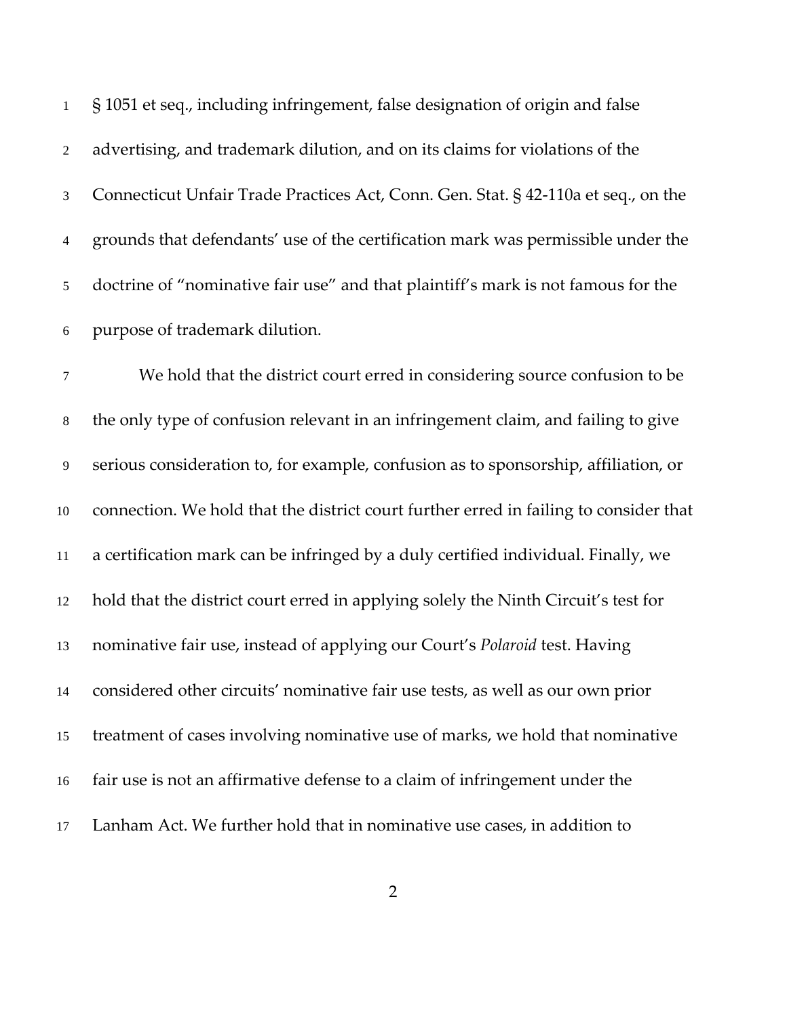§ 1051 et seq., including infringement, false designation of origin and false advertising, and trademark dilution, and on its claims for violations of the Connecticut Unfair Trade Practices Act, Conn. Gen. Stat. § 42‐110a et seq., on the grounds that defendants' use of the certification mark was permissible under the doctrine of "nominative fair use" and that plaintiff's mark is not famous for the purpose of trademark dilution.

We hold that the district court erred in considering source confusion to be the only type of confusion relevant in an infringement claim, and failing to give serious consideration to, for example, confusion as to sponsorship, affiliation, or connection. We hold that the district court further erred in failing to consider that a certification mark can be infringed by a duly certified individual. Finally, we hold that the district court erred in applying solely the Ninth Circuit's test for nominative fair use, instead of applying our Court's *Polaroid* test. Having considered other circuits' nominative fair use tests, as well as our own prior treatment of cases involving nominative use of marks, we hold that nominative fair use is not an affirmative defense to a claim of infringement under the Lanham Act. We further hold that in nominative use cases, in addition to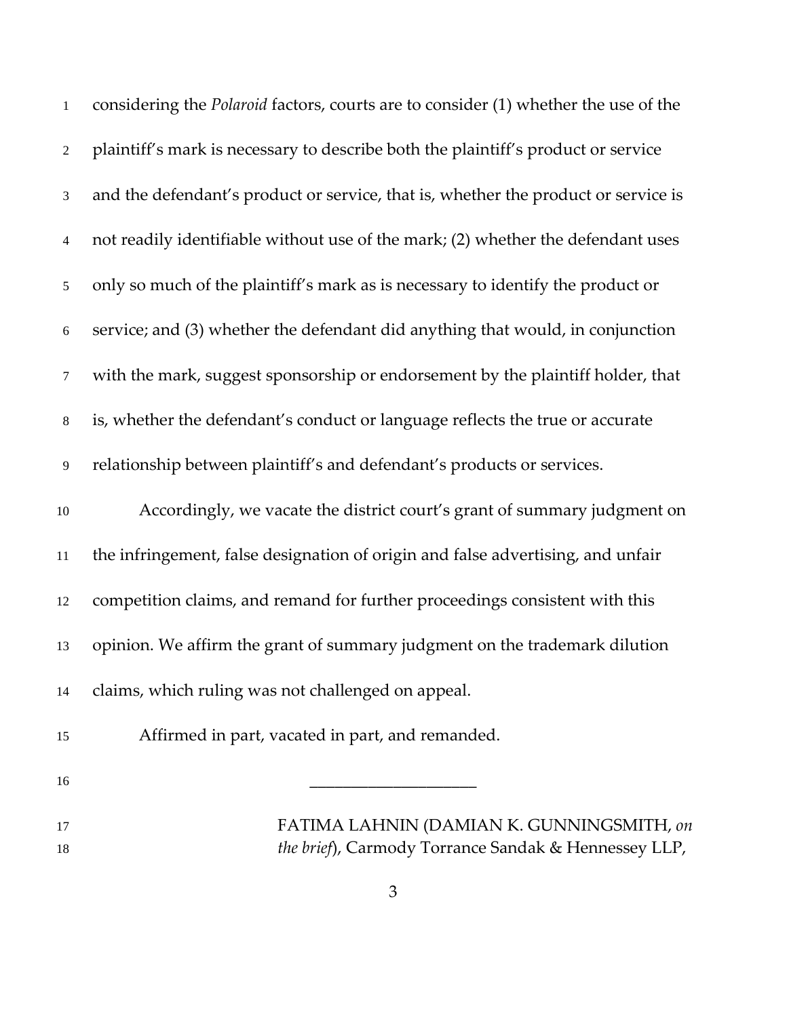| $\mathbf{1}$   | considering the Polaroid factors, courts are to consider (1) whether the use of the |
|----------------|-------------------------------------------------------------------------------------|
| $\overline{2}$ | plaintiff's mark is necessary to describe both the plaintiff's product or service   |
| 3              | and the defendant's product or service, that is, whether the product or service is  |
| 4              | not readily identifiable without use of the mark; (2) whether the defendant uses    |
| 5              | only so much of the plaintiff's mark as is necessary to identify the product or     |
| $\sqrt{6}$     | service; and (3) whether the defendant did anything that would, in conjunction      |
| $\tau$         | with the mark, suggest sponsorship or endorsement by the plaintiff holder, that     |
| $8\,$          | is, whether the defendant's conduct or language reflects the true or accurate       |
| 9              | relationship between plaintiff's and defendant's products or services.              |
| $10\,$         | Accordingly, we vacate the district court's grant of summary judgment on            |
| 11             | the infringement, false designation of origin and false advertising, and unfair     |
| 12             | competition claims, and remand for further proceedings consistent with this         |
| 13             | opinion. We affirm the grant of summary judgment on the trademark dilution          |
| 14             | claims, which ruling was not challenged on appeal.                                  |
| 15             | Affirmed in part, vacated in part, and remanded.                                    |
| 16             |                                                                                     |
| 17             | FATIMA LAHNIN (DAMIAN K. GUNNINGSMITH, on                                           |
| 18             | the brief), Carmody Torrance Sandak & Hennessey LLP,                                |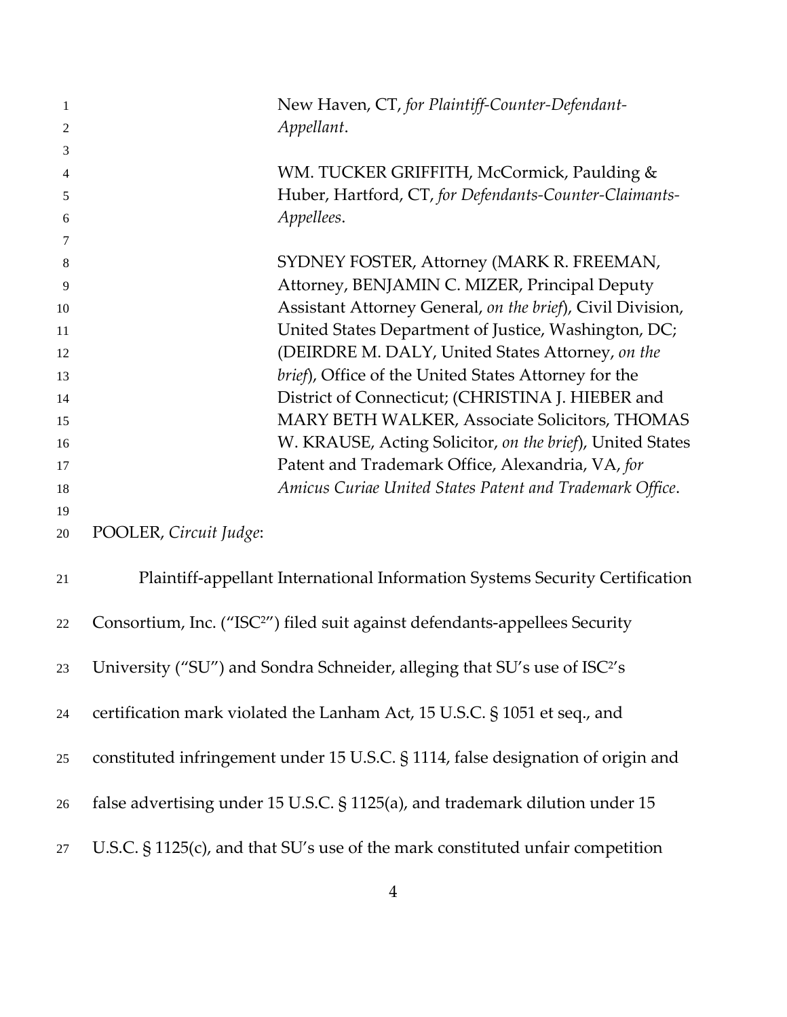| $\mathbf{1}$<br>$\overline{2}$ | New Haven, CT, for Plaintiff-Counter-Defendant-<br>Appellant.                           |
|--------------------------------|-----------------------------------------------------------------------------------------|
| 3                              |                                                                                         |
| 4                              | WM. TUCKER GRIFFITH, McCormick, Paulding &                                              |
| 5                              | Huber, Hartford, CT, for Defendants-Counter-Claimants-                                  |
| 6                              | Appellees.                                                                              |
| 7                              |                                                                                         |
| 8                              | SYDNEY FOSTER, Attorney (MARK R. FREEMAN,                                               |
| 9                              | Attorney, BENJAMIN C. MIZER, Principal Deputy                                           |
| 10                             | Assistant Attorney General, on the brief), Civil Division,                              |
| 11                             | United States Department of Justice, Washington, DC;                                    |
| 12                             | (DEIRDRE M. DALY, United States Attorney, on the                                        |
| 13                             | brief), Office of the United States Attorney for the                                    |
| 14                             | District of Connecticut; (CHRISTINA J. HIEBER and                                       |
| 15                             | MARY BETH WALKER, Associate Solicitors, THOMAS                                          |
| 16                             | W. KRAUSE, Acting Solicitor, on the brief), United States                               |
| 17                             | Patent and Trademark Office, Alexandria, VA, for                                        |
| 18                             | Amicus Curiae United States Patent and Trademark Office.                                |
| 19                             |                                                                                         |
| 20                             | POOLER, Circuit Judge:                                                                  |
| 21                             | Plaintiff-appellant International Information Systems Security Certification            |
| 22                             | Consortium, Inc. ("ISC <sup>2"</sup> ) filed suit against defendants-appellees Security |
| 23                             | University ("SU") and Sondra Schneider, alleging that SU's use of ISC <sup>2'</sup> s   |
| 24                             | certification mark violated the Lanham Act, 15 U.S.C. § 1051 et seq., and               |
| 25                             | constituted infringement under 15 U.S.C. § 1114, false designation of origin and        |
| 26                             | false advertising under 15 U.S.C. § 1125(a), and trademark dilution under 15            |
| 27                             | U.S.C. $\S$ 1125(c), and that SU's use of the mark constituted unfair competition       |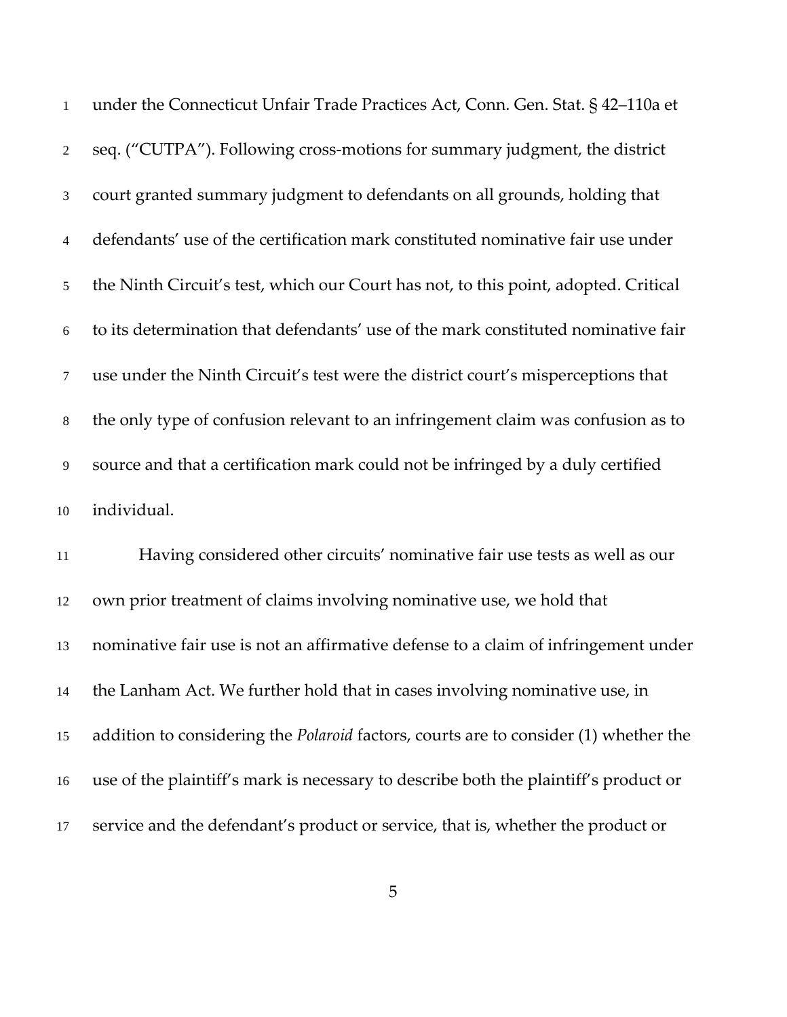| $\mathbf{1}$   | under the Connecticut Unfair Trade Practices Act, Conn. Gen. Stat. § 42-110a et             |
|----------------|---------------------------------------------------------------------------------------------|
| $\overline{2}$ | seq. ("CUTPA"). Following cross-motions for summary judgment, the district                  |
| 3              | court granted summary judgment to defendants on all grounds, holding that                   |
| $\overline{4}$ | defendants' use of the certification mark constituted nominative fair use under             |
| 5              | the Ninth Circuit's test, which our Court has not, to this point, adopted. Critical         |
| $\sqrt{6}$     | to its determination that defendants' use of the mark constituted nominative fair           |
| $\tau$         | use under the Ninth Circuit's test were the district court's misperceptions that            |
| $8\,$          | the only type of confusion relevant to an infringement claim was confusion as to            |
| 9              | source and that a certification mark could not be infringed by a duly certified             |
| 10             | individual.                                                                                 |
| $11\,$         | Having considered other circuits' nominative fair use tests as well as our                  |
| 12             | own prior treatment of claims involving nominative use, we hold that                        |
| 13             | nominative fair use is not an affirmative defense to a claim of infringement under          |
| 14             | the Lanham Act. We further hold that in cases involving nominative use, in                  |
| 15             | addition to considering the <i>Polaroid</i> factors, courts are to consider (1) whether the |
| 16             | use of the plaintiff's mark is necessary to describe both the plaintiff's product or        |
| 17             | service and the defendant's product or service, that is, whether the product or             |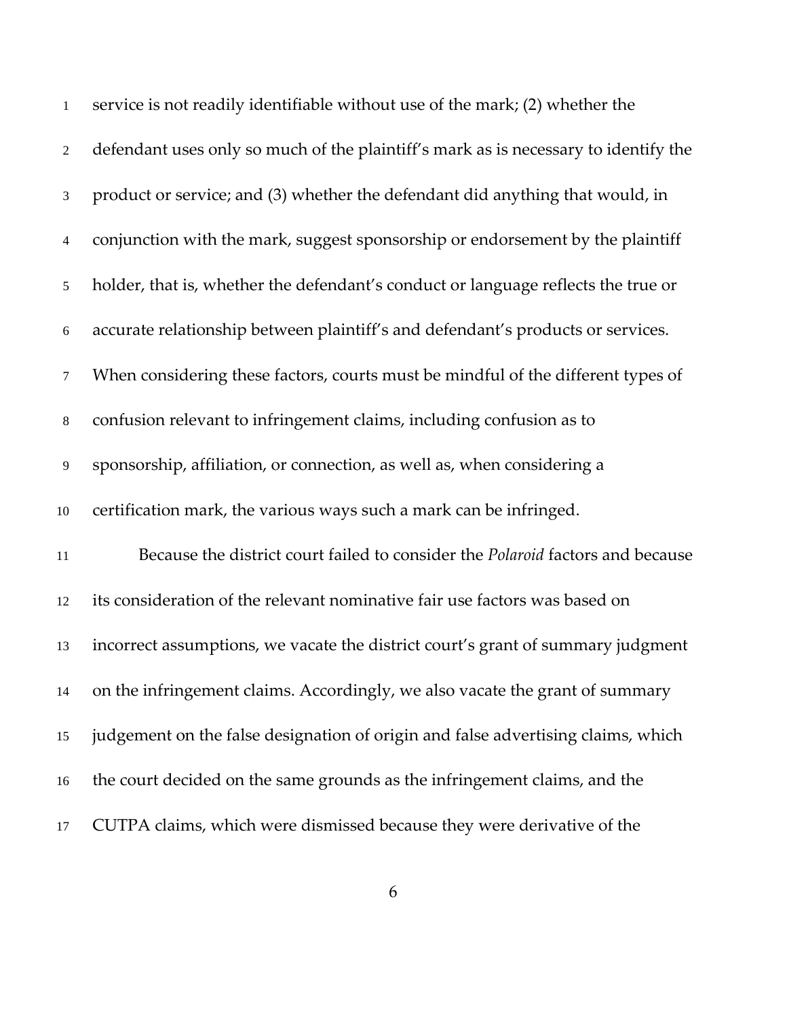| $\mathbf{1}$   | service is not readily identifiable without use of the mark; (2) whether the        |
|----------------|-------------------------------------------------------------------------------------|
| $\overline{2}$ | defendant uses only so much of the plaintiff's mark as is necessary to identify the |
| 3              | product or service; and (3) whether the defendant did anything that would, in       |
| 4              | conjunction with the mark, suggest sponsorship or endorsement by the plaintiff      |
| 5              | holder, that is, whether the defendant's conduct or language reflects the true or   |
| 6              | accurate relationship between plaintiff's and defendant's products or services.     |
| $\tau$         | When considering these factors, courts must be mindful of the different types of    |
| $8\,$          | confusion relevant to infringement claims, including confusion as to                |
| 9              | sponsorship, affiliation, or connection, as well as, when considering a             |
| $10\,$         | certification mark, the various ways such a mark can be infringed.                  |
| $11\,$         | Because the district court failed to consider the Polaroid factors and because      |
| 12             | its consideration of the relevant nominative fair use factors was based on          |
| 13             | incorrect assumptions, we vacate the district court's grant of summary judgment     |
| 14             | on the infringement claims. Accordingly, we also vacate the grant of summary        |
| 15             | judgement on the false designation of origin and false advertising claims, which    |
| 16             | the court decided on the same grounds as the infringement claims, and the           |
| 17             | CUTPA claims, which were dismissed because they were derivative of the              |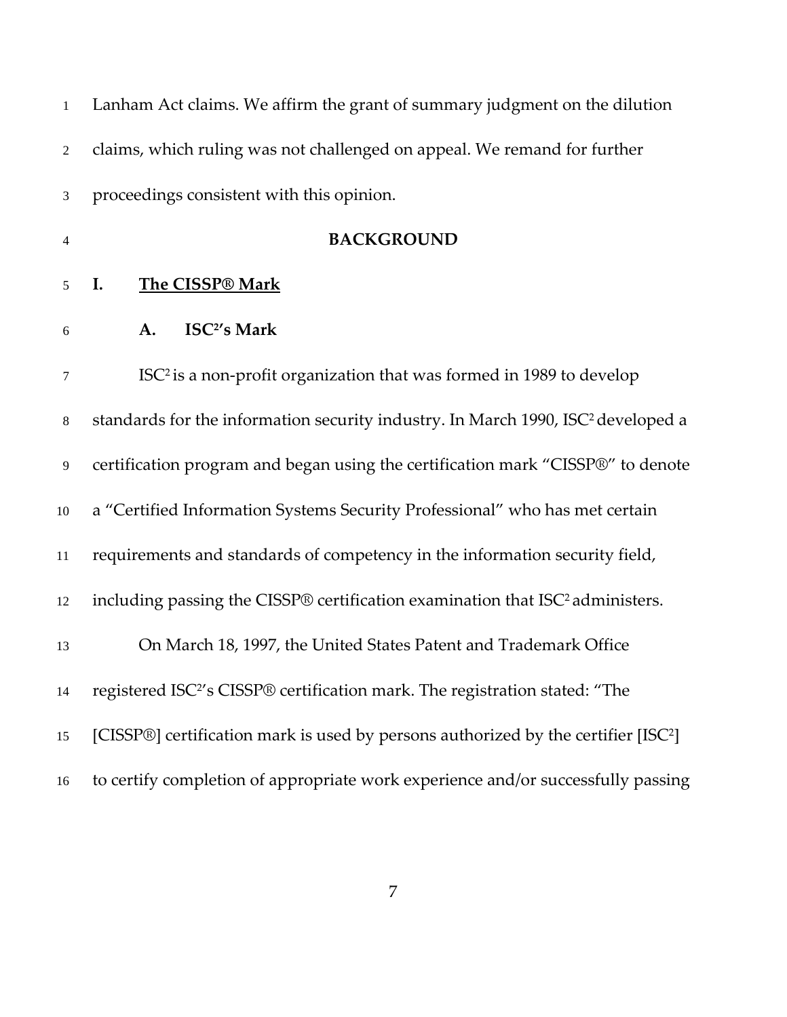| $\mathbf{1}$   | Lanham Act claims. We affirm the grant of summary judgment on the dilution                     |
|----------------|------------------------------------------------------------------------------------------------|
| $\overline{2}$ | claims, which ruling was not challenged on appeal. We remand for further                       |
| 3              | proceedings consistent with this opinion.                                                      |
| $\overline{4}$ | <b>BACKGROUND</b>                                                                              |
| 5              | I.<br>The CISSP® Mark                                                                          |
| 6              | ISC <sup>2</sup> 's Mark<br>A.                                                                 |
| 7              | ISC <sup>2</sup> is a non-profit organization that was formed in 1989 to develop               |
| $8\,$          | standards for the information security industry. In March 1990, ISC <sup>2</sup> developed a   |
| 9              | certification program and began using the certification mark "CISSP®" to denote                |
| 10             | a "Certified Information Systems Security Professional" who has met certain                    |
| 11             | requirements and standards of competency in the information security field,                    |
| 12             | including passing the CISSP® certification examination that ISC <sup>2</sup> administers.      |
| 13             | On March 18, 1997, the United States Patent and Trademark Office                               |
| 14             | registered ISC <sup>2</sup> 's CISSP® certification mark. The registration stated: "The        |
| 15             | [CISSP®] certification mark is used by persons authorized by the certifier [ISC <sup>2</sup> ] |
| 16             | to certify completion of appropriate work experience and/or successfully passing               |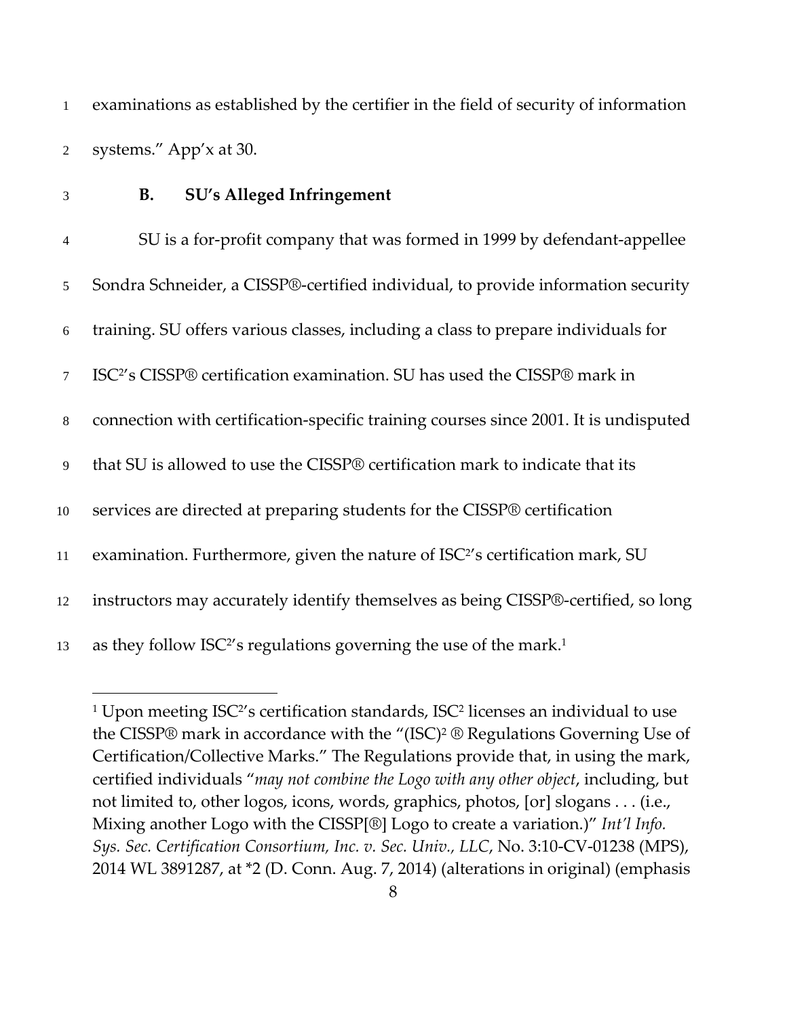examinations as established by the certifier in the field of security of information systems." App'x at 30.

 $\overline{a}$ 

### **B. SU's Alleged Infringement**

| $\overline{4}$ | SU is a for-profit company that was formed in 1999 by defendant-appellee                   |
|----------------|--------------------------------------------------------------------------------------------|
| 5 <sup>5</sup> | Sondra Schneider, a CISSP®-certified individual, to provide information security           |
| 6              | training. SU offers various classes, including a class to prepare individuals for          |
| $\tau$         | ISC <sup>2</sup> 's CISSP® certification examination. SU has used the CISSP® mark in       |
| 8              | connection with certification-specific training courses since 2001. It is undisputed       |
| 9              | that SU is allowed to use the CISSP® certification mark to indicate that its               |
| 10             | services are directed at preparing students for the CISSP® certification                   |
| 11             | examination. Furthermore, given the nature of ISC <sup>2'</sup> s certification mark, SU   |
| 12             | instructors may accurately identify themselves as being CISSP®-certified, so long          |
| 13             | as they follow ISC <sup>2'</sup> s regulations governing the use of the mark. <sup>1</sup> |

<sup>&</sup>lt;sup>1</sup> Upon meeting ISC<sup>2</sup>'s certification standards, ISC<sup>2</sup> licenses an individual to use the CISSP® mark in accordance with the "(ISC)2 ® Regulations Governing Use of Certification/Collective Marks." The Regulations provide that, in using the mark, certified individuals "*may not combine the Logo with any other object*, including, but not limited to, other logos, icons, words, graphics, photos, [or] slogans . . . (i.e., Mixing another Logo with the CISSP[®] Logo to create a variation.)" *Int'l Info. Sys. Sec. Certification Consortium, Inc. v. Sec. Univ., LLC*, No. 3:10‐CV‐01238 (MPS), WL 3891287, at \*2 (D. Conn. Aug. 7, 2014) (alterations in original) (emphasis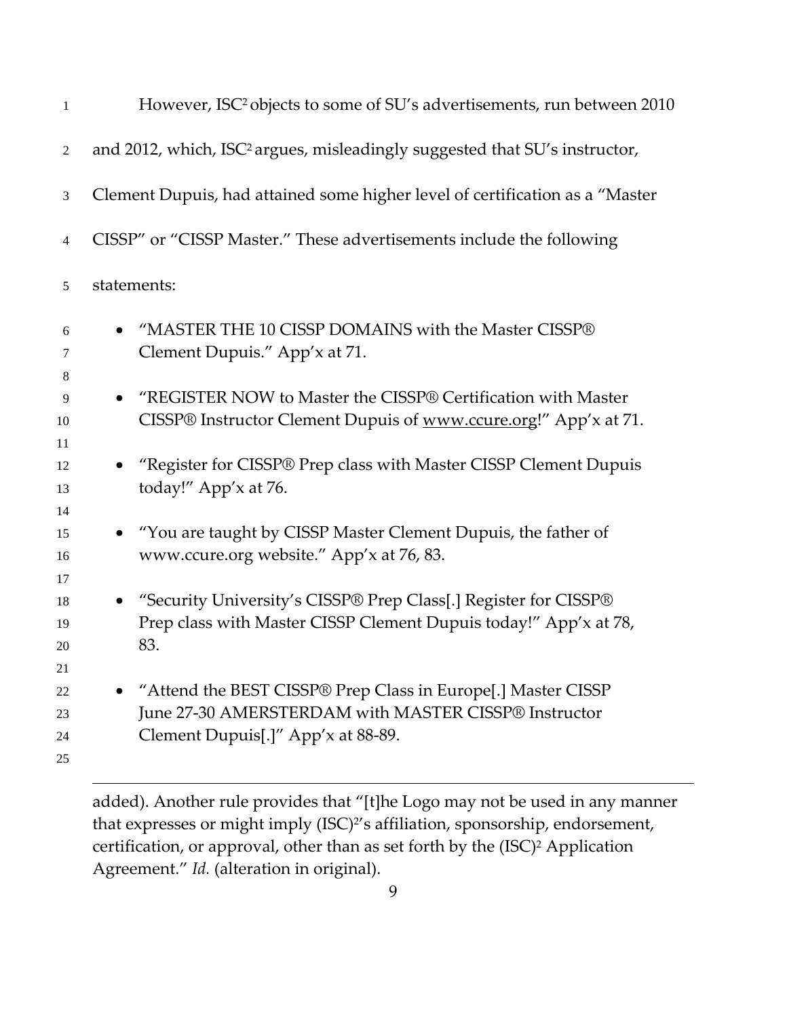| $\mathbf{1}$               | However, ISC <sup>2</sup> objects to some of SU's advertisements, run between 2010                                                                         |
|----------------------------|------------------------------------------------------------------------------------------------------------------------------------------------------------|
| 2                          | and 2012, which, ISC <sup>2</sup> argues, misleadingly suggested that SU's instructor,                                                                     |
| 3                          | Clement Dupuis, had attained some higher level of certification as a "Master                                                                               |
| 4                          | CISSP" or "CISSP Master." These advertisements include the following                                                                                       |
| 5                          | statements:                                                                                                                                                |
| 6<br>7                     | "MASTER THE 10 CISSP DOMAINS with the Master CISSP®<br>Clement Dupuis." App'x at 71.                                                                       |
| 8<br>9<br>10<br>11         | "REGISTER NOW to Master the CISSP® Certification with Master<br>CISSP® Instructor Clement Dupuis of www.ccure.org!" App'x at 71.                           |
| 12<br>13<br>14             | "Register for CISSP® Prep class with Master CISSP Clement Dupuis<br>today!" App'x at 76.                                                                   |
| 15<br>16<br>17             | "You are taught by CISSP Master Clement Dupuis, the father of<br>www.ccure.org website." App'x at 76, 83.                                                  |
| 18<br>19<br>20             | "Security University's CISSP® Prep Class[.] Register for CISSP®<br>Prep class with Master CISSP Clement Dupuis today!" App'x at 78,<br>83.                 |
| 21<br>22<br>23<br>24<br>25 | "Attend the BEST CISSP® Prep Class in Europe[.] Master CISSP<br>June 27-30 AMERSTERDAM with MASTER CISSP® Instructor<br>Clement Dupuis[.]" App'x at 88-89. |

added). Another rule provides that "[t]he Logo may not be used in any manner that expresses or might imply (ISC)<sup>2'</sup>s affiliation, sponsorship, endorsement, certification, or approval, other than as set forth by the (ISC)<sup>2</sup> Application Agreement." *Id.* (alteration in original).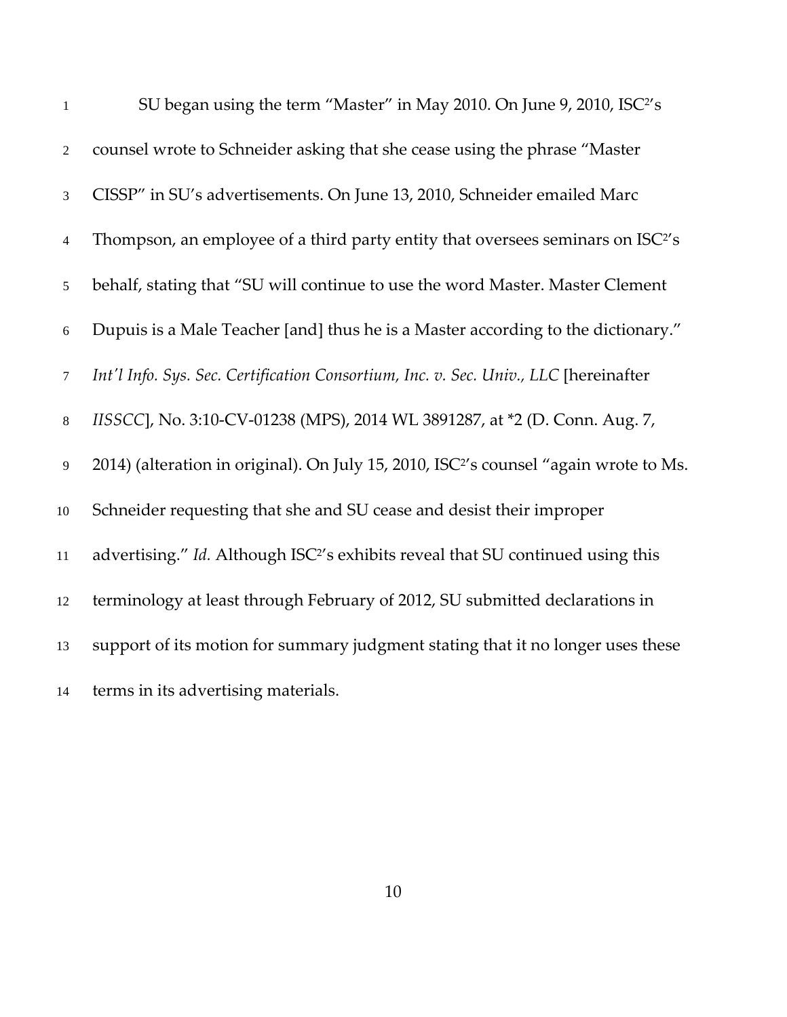| $\mathbf{1}$   | SU began using the term "Master" in May 2010. On June 9, 2010, ISC <sup>2</sup> 's                |
|----------------|---------------------------------------------------------------------------------------------------|
| 2              | counsel wrote to Schneider asking that she cease using the phrase "Master"                        |
| $\mathfrak{Z}$ | CISSP" in SU's advertisements. On June 13, 2010, Schneider emailed Marc                           |
| $\overline{4}$ | Thompson, an employee of a third party entity that oversees seminars on ISC <sup>2</sup> 's       |
| 5              | behalf, stating that "SU will continue to use the word Master. Master Clement                     |
| 6              | Dupuis is a Male Teacher [and] thus he is a Master according to the dictionary."                  |
| $\overline{7}$ | Int'l Info. Sys. Sec. Certification Consortium, Inc. v. Sec. Univ., LLC [hereinafter              |
| $8\,$          | IISSCC], No. 3:10-CV-01238 (MPS), 2014 WL 3891287, at *2 (D. Conn. Aug. 7,                        |
| $\overline{9}$ | 2014) (alteration in original). On July 15, 2010, ISC <sup>2</sup> 's counsel "again wrote to Ms. |
| 10             | Schneider requesting that she and SU cease and desist their improper                              |
| 11             | advertising." Id. Although ISC <sup>2</sup> 's exhibits reveal that SU continued using this       |
| 12             | terminology at least through February of 2012, SU submitted declarations in                       |
| 13             | support of its motion for summary judgment stating that it no longer uses these                   |
| 14             | terms in its advertising materials.                                                               |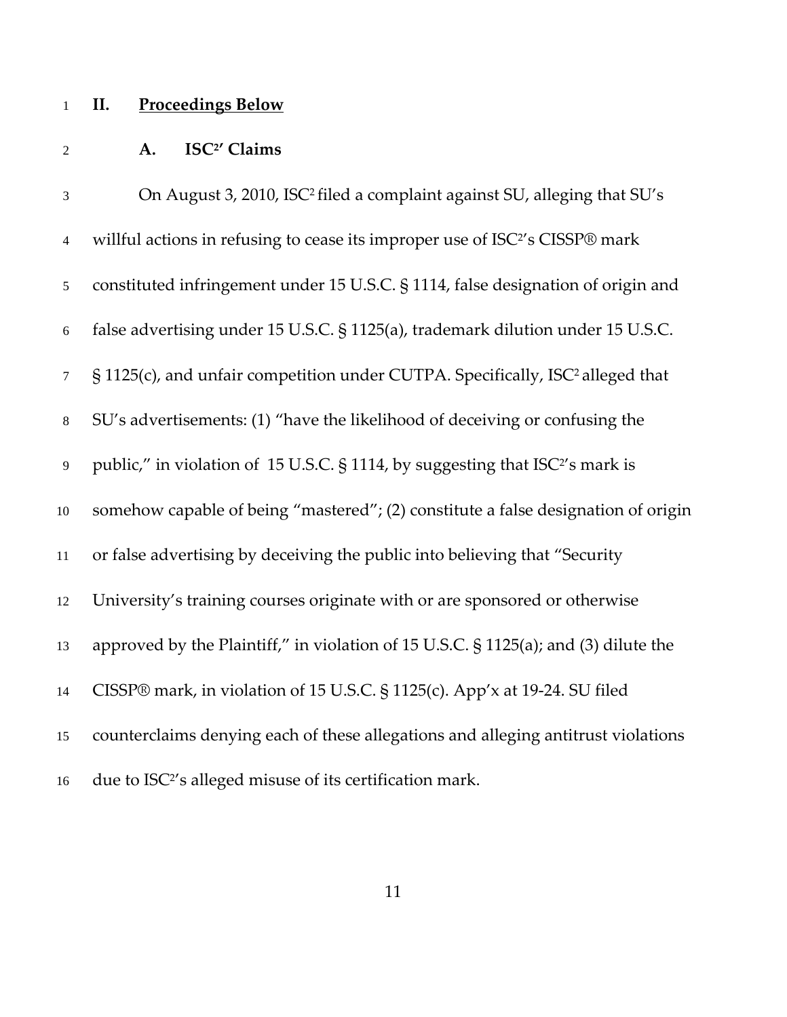# **II. Proceedings Below**

## **A. ISC2 ' Claims**

| $\mathfrak{Z}$ | On August 3, 2010, ISC <sup>2</sup> filed a complaint against SU, alleging that SU's       |
|----------------|--------------------------------------------------------------------------------------------|
| $\overline{4}$ | willful actions in refusing to cease its improper use of ISC <sup>2</sup> 's CISSP® mark   |
| $\mathfrak{S}$ | constituted infringement under 15 U.S.C. § 1114, false designation of origin and           |
| 6              | false advertising under 15 U.S.C. § 1125(a), trademark dilution under 15 U.S.C.            |
| $\tau$         | § 1125(c), and unfair competition under CUTPA. Specifically, ISC <sup>2</sup> alleged that |
| 8              | SU's advertisements: (1) "have the likelihood of deceiving or confusing the                |
| 9              | public," in violation of 15 U.S.C. § 1114, by suggesting that ISC <sup>2</sup> 's mark is  |
| $10\,$         | somehow capable of being "mastered"; (2) constitute a false designation of origin          |
| 11             | or false advertising by deceiving the public into believing that "Security                 |
| 12             | University's training courses originate with or are sponsored or otherwise                 |
| 13             | approved by the Plaintiff," in violation of 15 U.S.C. § 1125(a); and (3) dilute the        |
| 14             | CISSP® mark, in violation of 15 U.S.C. § 1125(c). App'x at 19-24. SU filed                 |
| 15             | counterclaims denying each of these allegations and alleging antitrust violations          |
| 16             | due to ISC <sup>2</sup> 's alleged misuse of its certification mark.                       |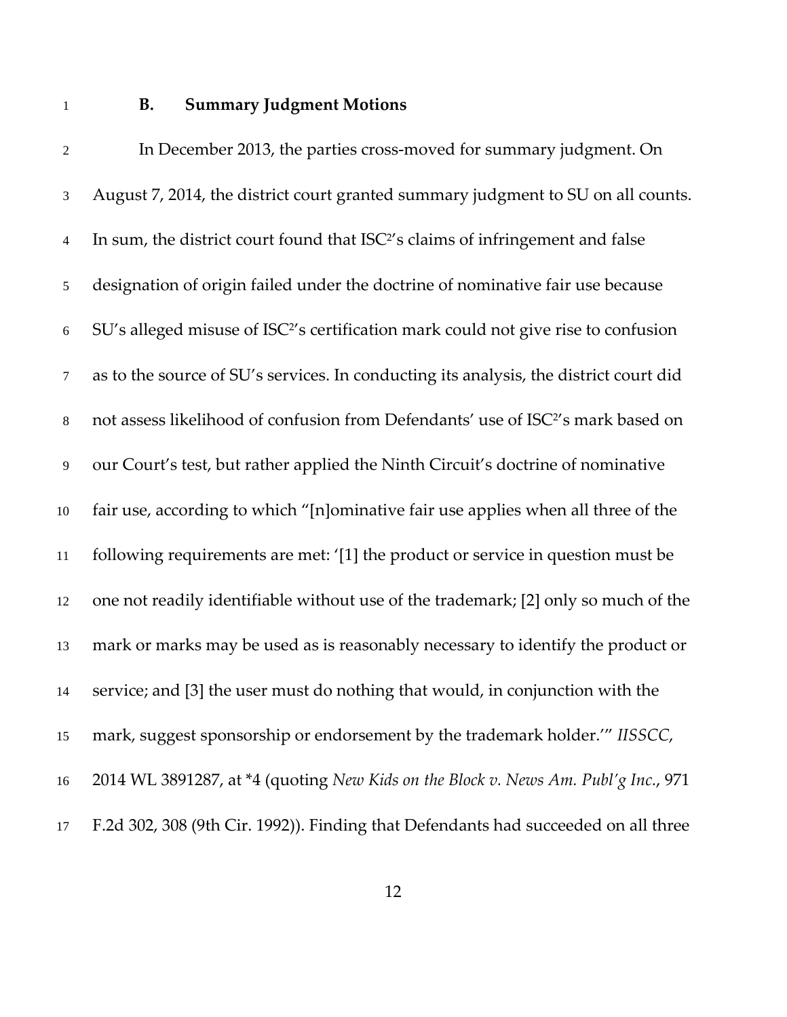#### **B. Summary Judgment Motions**

2 In December 2013, the parties cross-moved for summary judgment. On August 7, 2014, the district court granted summary judgment to SU on all counts. In sum, the district court found that ISC<sup>2</sup>'s claims of infringement and false designation of origin failed under the doctrine of nominative fair use because 6 SU's alleged misuse of ISC<sup>2'</sup>s certification mark could not give rise to confusion as to the source of SU's services. In conducting its analysis, the district court did 8 not assess likelihood of confusion from Defendants' use of ISC<sup>2'</sup>s mark based on our Court's test, but rather applied the Ninth Circuit's doctrine of nominative fair use, according to which "[n]ominative fair use applies when all three of the following requirements are met: '[1] the product or service in question must be one not readily identifiable without use of the trademark; [2] only so much of the mark or marks may be used as is reasonably necessary to identify the product or service; and [3] the user must do nothing that would, in conjunction with the mark, suggest sponsorship or endorsement by the trademark holder.'" *IISSCC*, 2014 WL 3891287, at \*4 (quoting *New Kids on the Block v. News Am. Publ'g Inc.*, 971 F.2d 302, 308 (9th Cir. 1992)). Finding that Defendants had succeeded on all three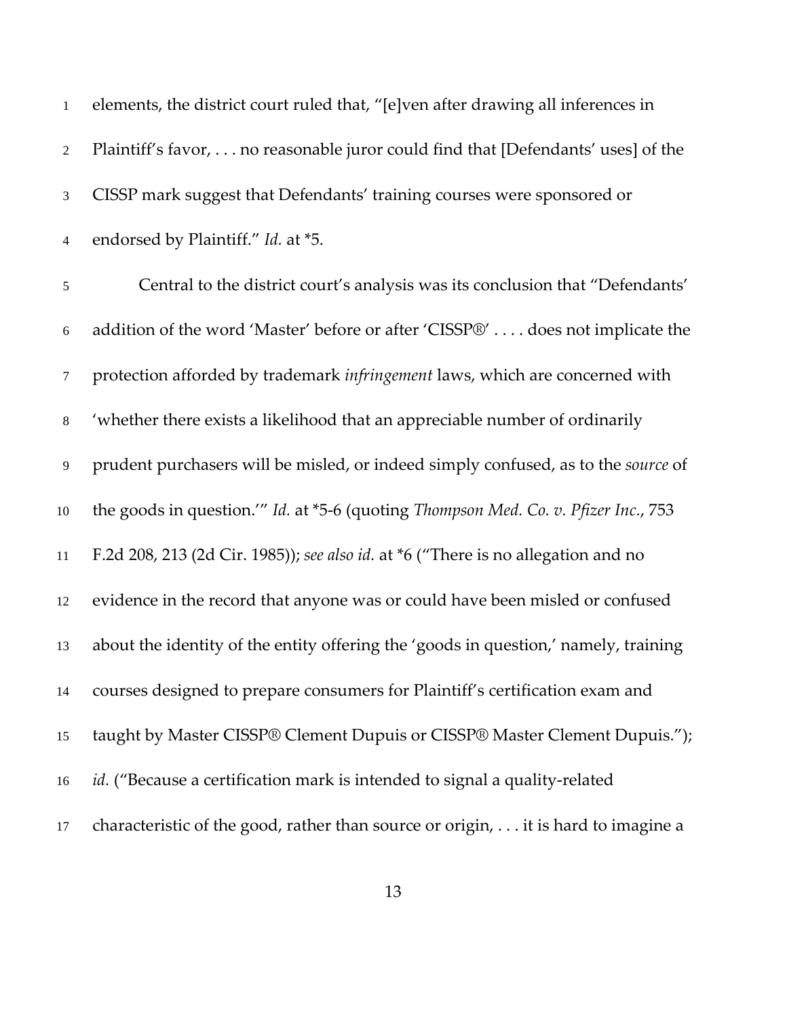| $\mathbf{1}$   | elements, the district court ruled that, "[e]ven after drawing all inferences in    |
|----------------|-------------------------------------------------------------------------------------|
| $\overline{2}$ | Plaintiff's favor, no reasonable juror could find that [Defendants' uses] of the    |
| 3              | CISSP mark suggest that Defendants' training courses were sponsored or              |
| 4              | endorsed by Plaintiff." Id. at *5.                                                  |
| 5              | Central to the district court's analysis was its conclusion that "Defendants"       |
| $6\,$          | addition of the word 'Master' before or after 'CISSP®'  does not implicate the      |
| $\tau$         | protection afforded by trademark infringement laws, which are concerned with        |
| $8\,$          | 'whether there exists a likelihood that an appreciable number of ordinarily         |
| 9              | prudent purchasers will be misled, or indeed simply confused, as to the source of   |
| 10             | the goods in question."" Id. at *5-6 (quoting Thompson Med. Co. v. Pfizer Inc., 753 |
| 11             | F.2d 208, 213 (2d Cir. 1985)); see also id. at *6 ("There is no allegation and no   |
| 12             | evidence in the record that anyone was or could have been misled or confused        |
| 13             | about the identity of the entity offering the 'goods in question,' namely, training |
| 14             | courses designed to prepare consumers for Plaintiff's certification exam and        |
| 15             | taught by Master CISSP® Clement Dupuis or CISSP® Master Clement Dupuis.");          |
| 16             | <i>id.</i> ("Because a certification mark is intended to signal a quality-related   |
| 17             | characteristic of the good, rather than source or origin, it is hard to imagine a   |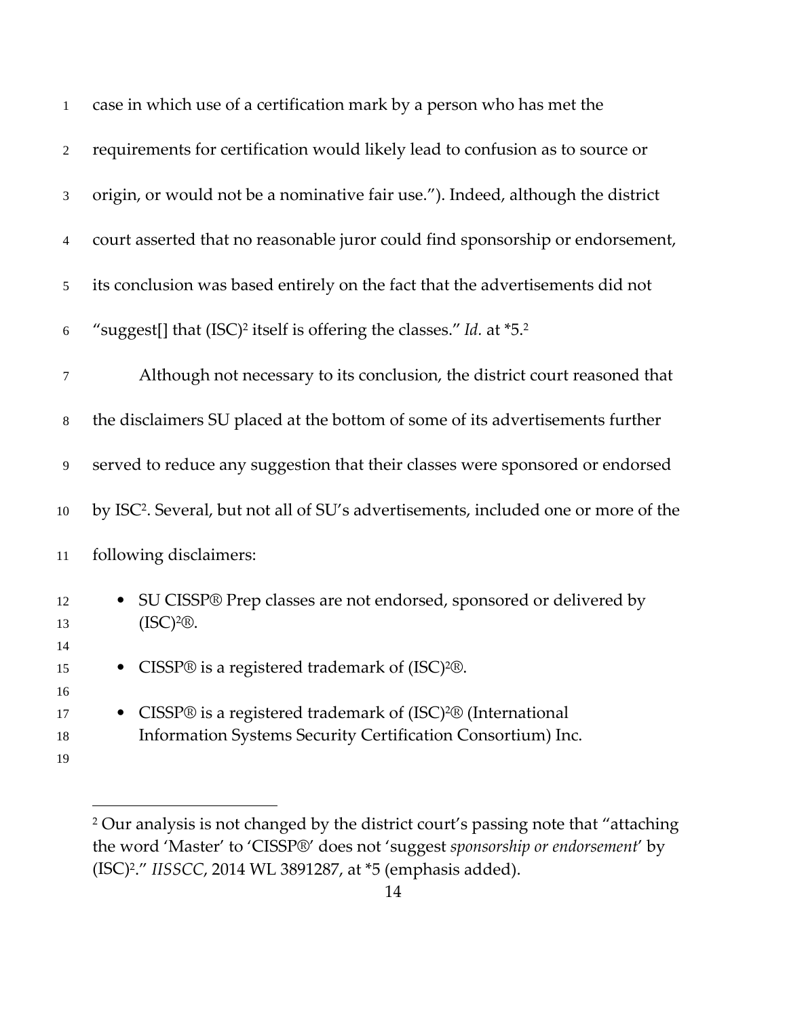| $\mathbf{1}$   | case in which use of a certification mark by a person who has met the                                                                              |
|----------------|----------------------------------------------------------------------------------------------------------------------------------------------------|
| $\overline{2}$ | requirements for certification would likely lead to confusion as to source or                                                                      |
| 3              | origin, or would not be a nominative fair use."). Indeed, although the district                                                                    |
| 4              | court asserted that no reasonable juror could find sponsorship or endorsement,                                                                     |
| 5              | its conclusion was based entirely on the fact that the advertisements did not                                                                      |
| 6              | "suggest[] that (ISC) <sup>2</sup> itself is offering the classes." Id. at *5. <sup>2</sup>                                                        |
| 7              | Although not necessary to its conclusion, the district court reasoned that                                                                         |
| $\,8\,$        | the disclaimers SU placed at the bottom of some of its advertisements further                                                                      |
| 9              | served to reduce any suggestion that their classes were sponsored or endorsed                                                                      |
| 10             | by ISC <sup>2</sup> . Several, but not all of SU's advertisements, included one or more of the                                                     |
| $11\,$         | following disclaimers:                                                                                                                             |
| 12<br>13<br>14 | SU CISSP® Prep classes are not endorsed, sponsored or delivered by<br>$(ISC)^2$ <sup>®</sup> .                                                     |
| 15<br>16       | CISSP® is a registered trademark of (ISC) <sup>2</sup> ®.                                                                                          |
| 17<br>18<br>19 | CISSP® is a registered trademark of (ISC) <sup>2®</sup> (International<br>$\bullet$<br>Information Systems Security Certification Consortium) Inc. |

<sup>&</sup>lt;sup>2</sup> Our analysis is not changed by the district court's passing note that "attaching the word 'Master' to 'CISSP®' does not 'suggest *sponsorship or endorsement*' by (ISC)2." *IISSCC*, 2014 WL 3891287, at \*5 (emphasis added).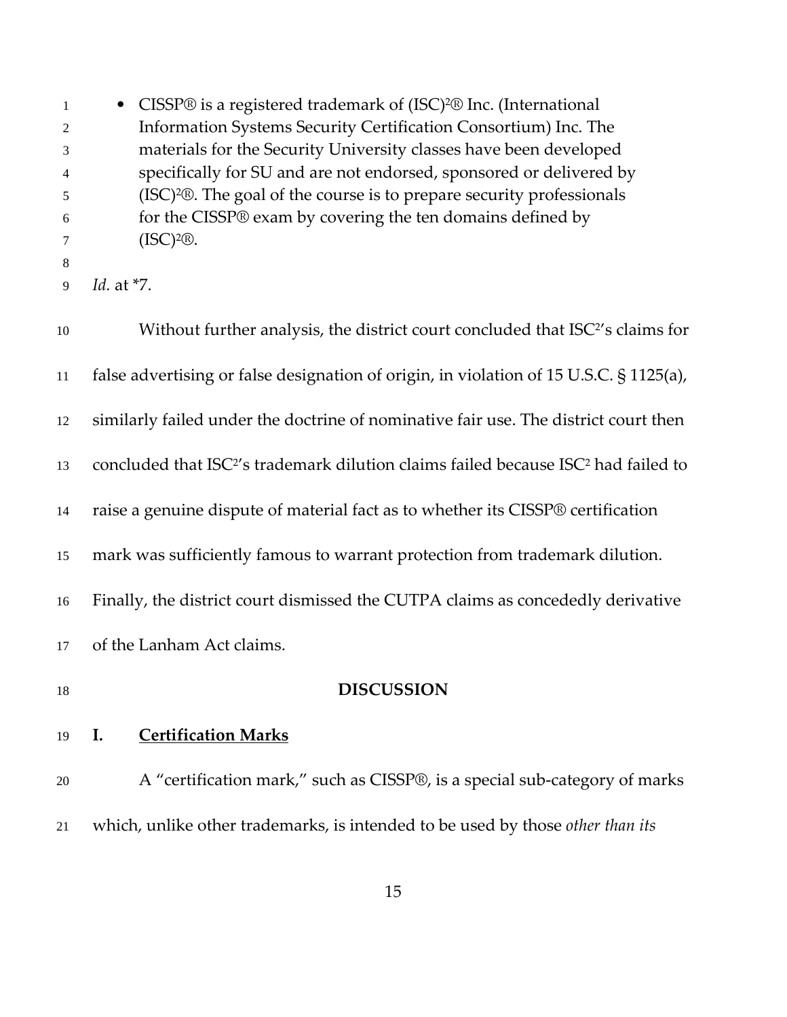**•** CISSP® is a registered trademark of (ISC)<sup>2</sup>® Inc. (International Information Systems Security Certification Consortium) Inc. The materials for the Security University classes have been developed specifically for SU and are not endorsed, sponsored or delivered by (ISC) 2®. The goal of the course is to prepare security professionals for the CISSP® exam by covering the ten domains defined by  $7 \qquad \qquad (ISC)^{2} \mathbb{R}.$  *Id.* at \*7. 10 Without further analysis, the district court concluded that ISC<sup>2'</sup>s claims for false advertising or false designation of origin, in violation of 15 U.S.C. § 1125(a), similarly failed under the doctrine of nominative fair use. The district court then 13 concluded that ISC<sup>2</sup>'s trademark dilution claims failed because ISC<sup>2</sup> had failed to raise a genuine dispute of material fact as to whether its CISSP® certification mark was sufficiently famous to warrant protection from trademark dilution. Finally, the district court dismissed the CUTPA claims as concededly derivative of the Lanham Act claims. **DISCUSSION I. Certification Marks** 20 A "certification mark," such as CISSP®, is a special sub-category of marks which, unlike other trademarks, is intended to be used by those *other than its*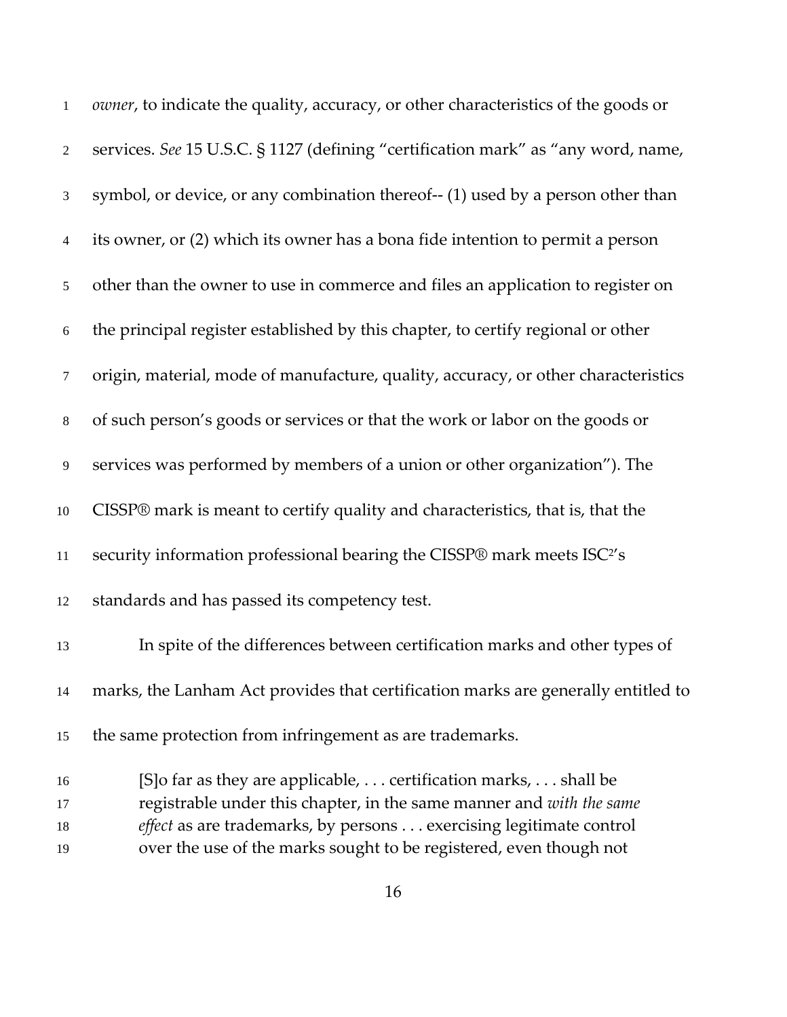| $\mathbf{1}$ | owner, to indicate the quality, accuracy, or other characteristics of the goods or  |
|--------------|-------------------------------------------------------------------------------------|
| 2            | services. See 15 U.S.C. § 1127 (defining "certification mark" as "any word, name,   |
| 3            | symbol, or device, or any combination thereof-- (1) used by a person other than     |
| 4            | its owner, or (2) which its owner has a bona fide intention to permit a person      |
| 5            | other than the owner to use in commerce and files an application to register on     |
| $\sqrt{6}$   | the principal register established by this chapter, to certify regional or other    |
| $\tau$       | origin, material, mode of manufacture, quality, accuracy, or other characteristics  |
| $8\,$        | of such person's goods or services or that the work or labor on the goods or        |
| 9            | services was performed by members of a union or other organization"). The           |
| 10           | CISSP® mark is meant to certify quality and characteristics, that is, that the      |
| $11\,$       | security information professional bearing the CISSP® mark meets ISC <sup>2</sup> 's |
| 12           | standards and has passed its competency test.                                       |
| 13           | In spite of the differences between certification marks and other types of          |
| 14           | marks, the Lanham Act provides that certification marks are generally entitled to   |
| 15           | the same protection from infringement as are trademarks.                            |
| 16           | [S] o far as they are applicable, certification marks, shall be                     |
| 17           | registrable under this chapter, in the same manner and with the same                |
| 18           | effect as are trademarks, by persons exercising legitimate control                  |

over the use of the marks sought to be registered, even though not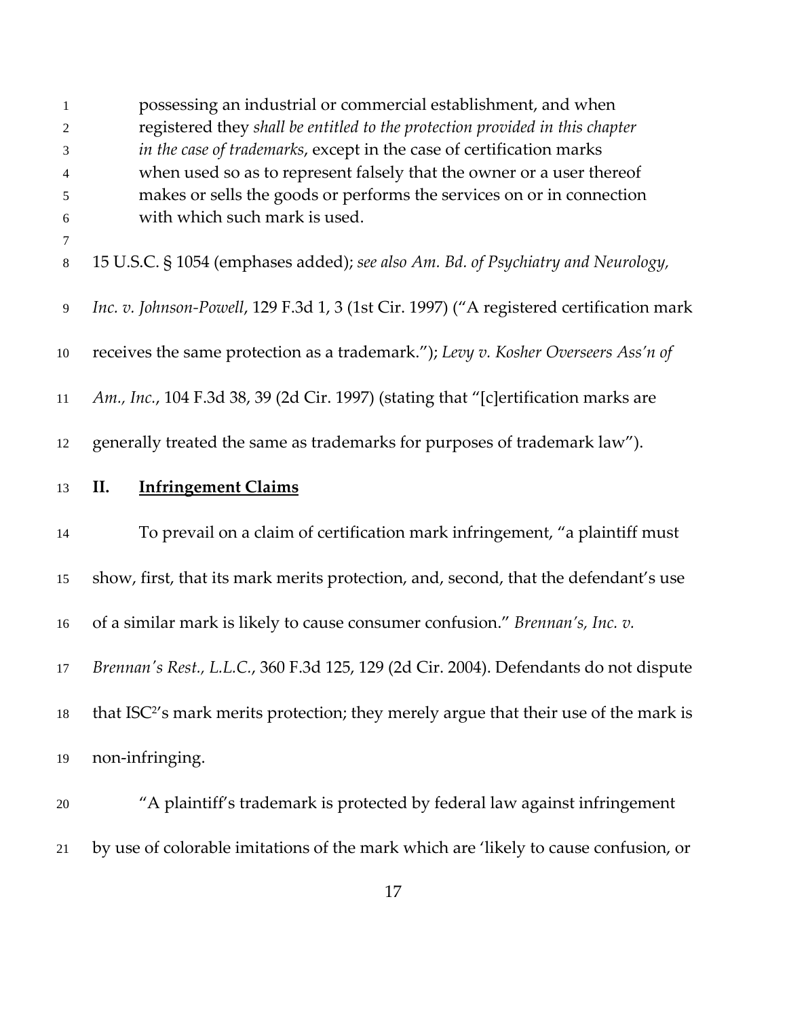| 1              | possessing an industrial or commercial establishment, and when                                   |
|----------------|--------------------------------------------------------------------------------------------------|
| $\mathfrak{2}$ | registered they shall be entitled to the protection provided in this chapter                     |
| 3              | in the case of trademarks, except in the case of certification marks                             |
| 4              | when used so as to represent falsely that the owner or a user thereof                            |
| 5              | makes or sells the goods or performs the services on or in connection                            |
| $6\,$          | with which such mark is used.                                                                    |
| 7<br>$\,8\,$   | 15 U.S.C. § 1054 (emphases added); see also Am. Bd. of Psychiatry and Neurology,                 |
| 9              | Inc. v. Johnson-Powell, 129 F.3d 1, 3 (1st Cir. 1997) ("A registered certification mark          |
| $10\,$         | receives the same protection as a trademark."); Levy v. Kosher Overseers Ass'n of                |
| 11             | Am., Inc., 104 F.3d 38, 39 (2d Cir. 1997) (stating that "[c]ertification marks are               |
| 12             | generally treated the same as trademarks for purposes of trademark law").                        |
| 13             | <b>Infringement Claims</b><br>П.                                                                 |
| 14             | To prevail on a claim of certification mark infringement, "a plaintiff must                      |
| 15             | show, first, that its mark merits protection, and, second, that the defendant's use              |
| 16             | of a similar mark is likely to cause consumer confusion." Brennan's, Inc. v.                     |
| 17             | Brennan's Rest., L.L.C., 360 F.3d 125, 129 (2d Cir. 2004). Defendants do not dispute             |
| $18\,$         | that ISC <sup>2</sup> 's mark merits protection; they merely argue that their use of the mark is |
| 19             | non-infringing.                                                                                  |
| $20\,$         | "A plaintiff's trademark is protected by federal law against infringement                        |
| 21             | by use of colorable imitations of the mark which are 'likely to cause confusion, or              |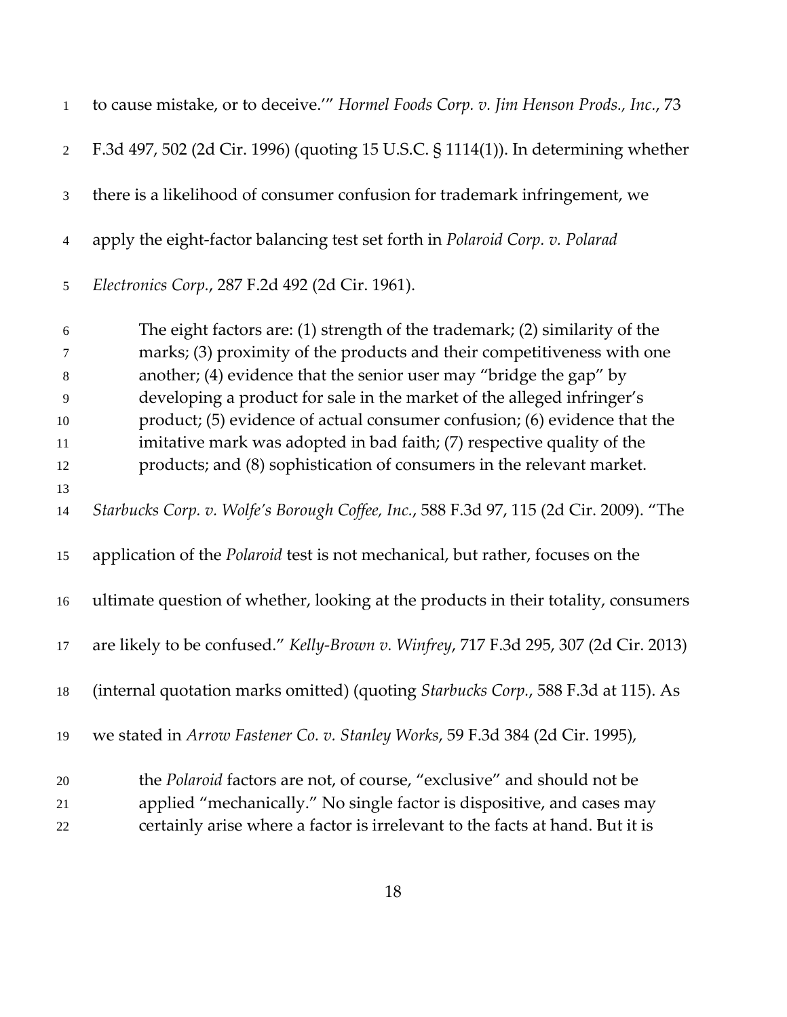| 1                | to cause mistake, or to deceive." Hormel Foods Corp. v. Jim Henson Prods., Inc., 73    |
|------------------|----------------------------------------------------------------------------------------|
| $\overline{2}$   | F.3d 497, 502 (2d Cir. 1996) (quoting 15 U.S.C. § 1114(1)). In determining whether     |
| 3                | there is a likelihood of consumer confusion for trademark infringement, we             |
| $\overline{4}$   | apply the eight-factor balancing test set forth in Polaroid Corp. v. Polarad           |
| 5                | Electronics Corp., 287 F.2d 492 (2d Cir. 1961).                                        |
| $\boldsymbol{6}$ | The eight factors are: (1) strength of the trademark; (2) similarity of the            |
| 7                | marks; (3) proximity of the products and their competitiveness with one                |
| 8                | another; (4) evidence that the senior user may "bridge the gap" by                     |
| 9                | developing a product for sale in the market of the alleged infringer's                 |
| 10               | product; (5) evidence of actual consumer confusion; (6) evidence that the              |
| 11               | imitative mark was adopted in bad faith; (7) respective quality of the                 |
| 12               | products; and (8) sophistication of consumers in the relevant market.                  |
| 13               |                                                                                        |
| 14               | Starbucks Corp. v. Wolfe's Borough Coffee, Inc., 588 F.3d 97, 115 (2d Cir. 2009). "The |
| 15               | application of the <i>Polaroid</i> test is not mechanical, but rather, focuses on the  |
| 16               | ultimate question of whether, looking at the products in their totality, consumers     |
| 17               | are likely to be confused." Kelly-Brown v. Winfrey, 717 F.3d 295, 307 (2d Cir. 2013)   |
| 18               | (internal quotation marks omitted) (quoting Starbucks Corp., 588 F.3d at 115). As      |
| 19               | we stated in Arrow Fastener Co. v. Stanley Works, 59 F.3d 384 (2d Cir. 1995),          |
| 20               | the Polaroid factors are not, of course, "exclusive" and should not be                 |
| 21               | applied "mechanically." No single factor is dispositive, and cases may                 |
| 22               | certainly arise where a factor is irrelevant to the facts at hand. But it is           |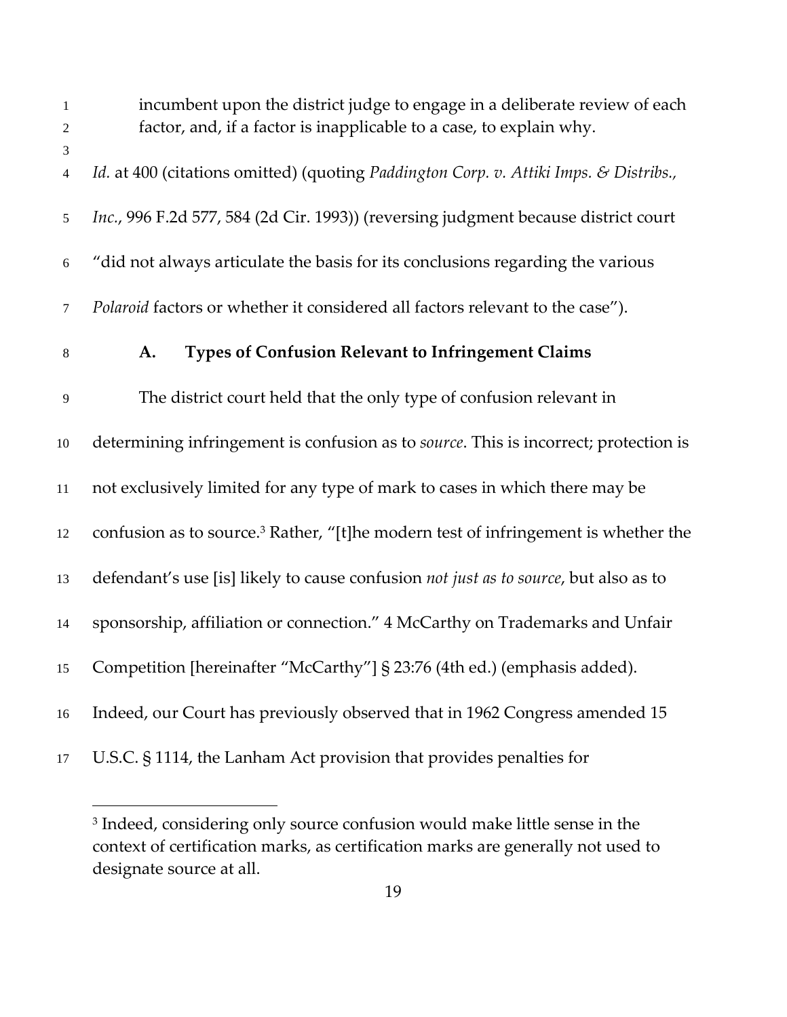| $\mathbf{1}$<br>$\overline{2}$ | incumbent upon the district judge to engage in a deliberate review of each<br>factor, and, if a factor is inapplicable to a case, to explain why. |
|--------------------------------|---------------------------------------------------------------------------------------------------------------------------------------------------|
| 3<br>$\overline{4}$            | Id. at 400 (citations omitted) (quoting Paddington Corp. v. Attiki Imps. & Distribs.,                                                             |
| 5                              | Inc., 996 F.2d 577, 584 (2d Cir. 1993)) (reversing judgment because district court                                                                |
| $6\,$                          | "did not always articulate the basis for its conclusions regarding the various                                                                    |
| 7                              | Polaroid factors or whether it considered all factors relevant to the case").                                                                     |
| $\,8\,$                        | <b>Types of Confusion Relevant to Infringement Claims</b><br>A.                                                                                   |
| 9                              | The district court held that the only type of confusion relevant in                                                                               |
| $10\,$                         | determining infringement is confusion as to source. This is incorrect; protection is                                                              |
| $11\,$                         | not exclusively limited for any type of mark to cases in which there may be                                                                       |
| 12                             | confusion as to source. <sup>3</sup> Rather, "[t]he modern test of infringement is whether the                                                    |
| 13                             | defendant's use [is] likely to cause confusion not just as to source, but also as to                                                              |
| 14                             | sponsorship, affiliation or connection." 4 McCarthy on Trademarks and Unfair                                                                      |
|                                | 15 Competition [hereinafter "McCarthy"] § 23:76 (4th ed.) (emphasis added).                                                                       |
| 16                             | Indeed, our Court has previously observed that in 1962 Congress amended 15                                                                        |
| 17                             | U.S.C. § 1114, the Lanham Act provision that provides penalties for                                                                               |

<sup>&</sup>lt;sup>3</sup> Indeed, considering only source confusion would make little sense in the context of certification marks, as certification marks are generally not used to designate source at all.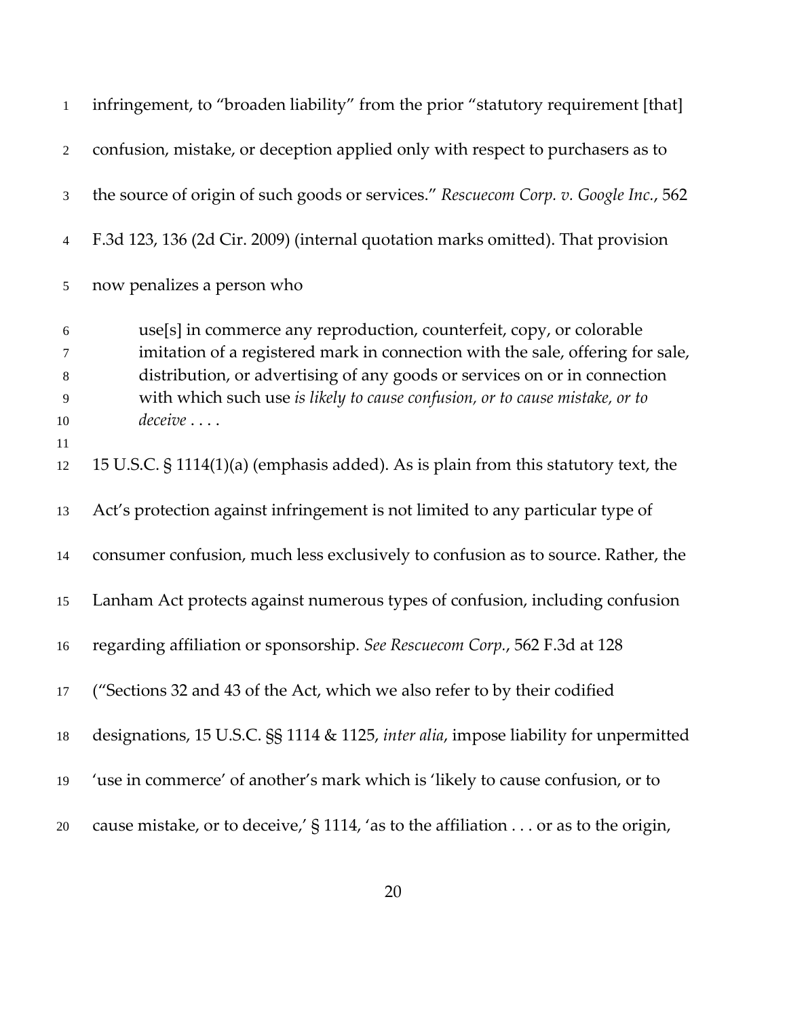| $\mathbf{1}$    | infringement, to "broaden liability" from the prior "statutory requirement [that]                                                                      |
|-----------------|--------------------------------------------------------------------------------------------------------------------------------------------------------|
| $\overline{2}$  | confusion, mistake, or deception applied only with respect to purchasers as to                                                                         |
| 3               | the source of origin of such goods or services." Rescuecom Corp. v. Google Inc., 562                                                                   |
| $\overline{4}$  | F.3d 123, 136 (2d Cir. 2009) (internal quotation marks omitted). That provision                                                                        |
| 5               | now penalizes a person who                                                                                                                             |
| $\sqrt{6}$<br>7 | use[s] in commerce any reproduction, counterfeit, copy, or colorable<br>imitation of a registered mark in connection with the sale, offering for sale, |
| 8               | distribution, or advertising of any goods or services on or in connection                                                                              |
| 9               | with which such use is likely to cause confusion, or to cause mistake, or to                                                                           |
| 10              | $\textit{deceive}\dots$                                                                                                                                |
| 11<br>12        | 15 U.S.C. § 1114(1)(a) (emphasis added). As is plain from this statutory text, the                                                                     |
| 13              | Act's protection against infringement is not limited to any particular type of                                                                         |
| 14              | consumer confusion, much less exclusively to confusion as to source. Rather, the                                                                       |
| 15              | Lanham Act protects against numerous types of confusion, including confusion                                                                           |
| 16              | regarding affiliation or sponsorship. See Rescuecom Corp., 562 F.3d at 128                                                                             |
| 17              | ("Sections 32 and 43 of the Act, which we also refer to by their codified                                                                              |
| 18              | designations, 15 U.S.C. §§ 1114 & 1125, inter alia, impose liability for unpermitted                                                                   |
| 19              | 'use in commerce' of another's mark which is 'likely to cause confusion, or to                                                                         |
| 20              | cause mistake, or to deceive,' $\S 1114$ , 'as to the affiliation or as to the origin,                                                                 |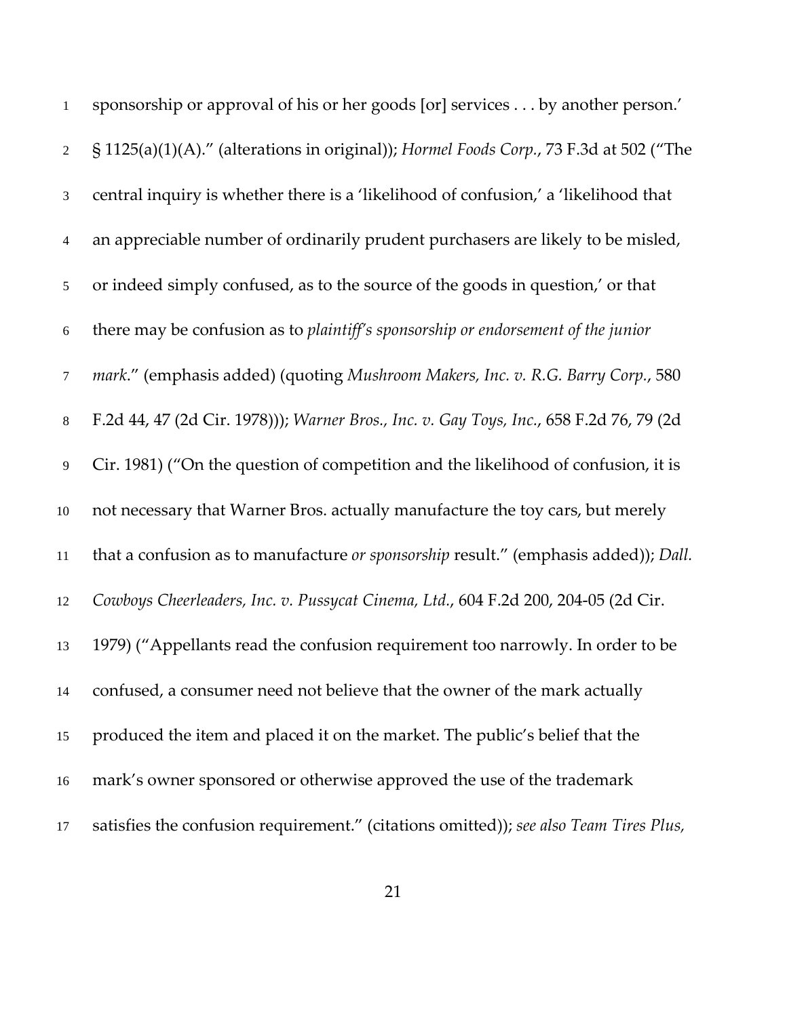| 1              | sponsorship or approval of his or her goods [or] services by another person.'           |
|----------------|-----------------------------------------------------------------------------------------|
| $\overline{2}$ | § 1125(a)(1)(A)." (alterations in original)); Hormel Foods Corp., 73 F.3d at 502 ("The  |
| 3              | central inquiry is whether there is a 'likelihood of confusion,' a 'likelihood that     |
| $\overline{4}$ | an appreciable number of ordinarily prudent purchasers are likely to be misled,         |
| 5              | or indeed simply confused, as to the source of the goods in question,' or that          |
| $\sqrt{6}$     | there may be confusion as to plaintiff's sponsorship or endorsement of the junior       |
| $\tau$         | mark." (emphasis added) (quoting Mushroom Makers, Inc. v. R.G. Barry Corp., 580         |
| $8\,$          | F.2d 44, 47 (2d Cir. 1978))); Warner Bros., Inc. v. Gay Toys, Inc., 658 F.2d 76, 79 (2d |
| 9              | Cir. 1981) ("On the question of competition and the likelihood of confusion, it is      |
| 10             | not necessary that Warner Bros. actually manufacture the toy cars, but merely           |
| 11             | that a confusion as to manufacture or sponsorship result." (emphasis added)); Dall.     |
| 12             | Cowboys Cheerleaders, Inc. v. Pussycat Cinema, Ltd., 604 F.2d 200, 204-05 (2d Cir.      |
| 13             | 1979) ("Appellants read the confusion requirement too narrowly. In order to be          |
| 14             | confused, a consumer need not believe that the owner of the mark actually               |
| 15             | produced the item and placed it on the market. The public's belief that the             |
| 16             | mark's owner sponsored or otherwise approved the use of the trademark                   |
| 17             | satisfies the confusion requirement." (citations omitted)); see also Team Tires Plus,   |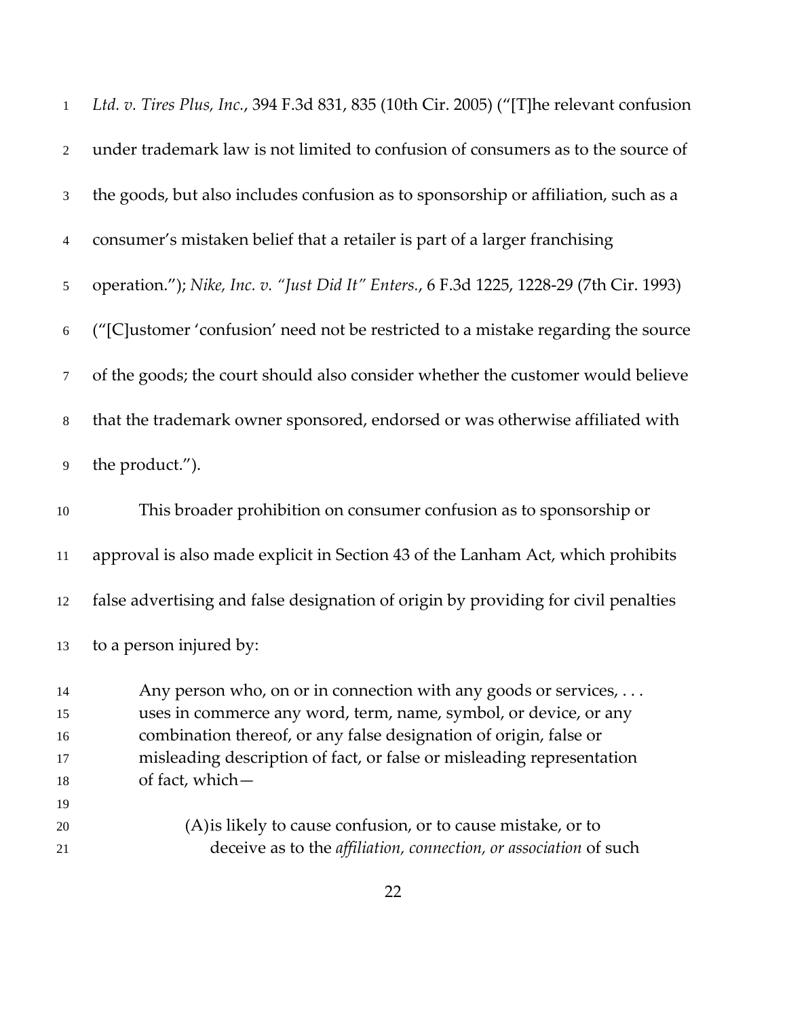| $\,1\,$                  | Ltd. v. Tires Plus, Inc., 394 F.3d 831, 835 (10th Cir. 2005) ("[T]he relevant confusion |
|--------------------------|-----------------------------------------------------------------------------------------|
| $\overline{2}$           | under trademark law is not limited to confusion of consumers as to the source of        |
| 3                        | the goods, but also includes confusion as to sponsorship or affiliation, such as a      |
| $\overline{\mathcal{A}}$ | consumer's mistaken belief that a retailer is part of a larger franchising              |
| 5                        | operation."); Nike, Inc. v. "Just Did It" Enters., 6 F.3d 1225, 1228-29 (7th Cir. 1993) |
| $\sqrt{6}$               | ("[C]ustomer 'confusion' need not be restricted to a mistake regarding the source       |
| $\tau$                   | of the goods; the court should also consider whether the customer would believe         |
| $8\,$                    | that the trademark owner sponsored, endorsed or was otherwise affiliated with           |
| $\overline{9}$           | the product.").                                                                         |
| $10\,$                   | This broader prohibition on consumer confusion as to sponsorship or                     |
| $11\,$                   | approval is also made explicit in Section 43 of the Lanham Act, which prohibits         |
| 12                       | false advertising and false designation of origin by providing for civil penalties      |
| 13                       | to a person injured by:                                                                 |
| 14                       | Any person who, on or in connection with any goods or services,                         |
| 15                       | uses in commerce any word, term, name, symbol, or device, or any                        |
| 16                       | combination thereof, or any false designation of origin, false or                       |
| 17                       | misleading description of fact, or false or misleading representation                   |
| 18                       | of fact, which-                                                                         |
| 19                       |                                                                                         |
| 20                       | (A) is likely to cause confusion, or to cause mistake, or to                            |
| 21                       | deceive as to the affiliation, connection, or association of such                       |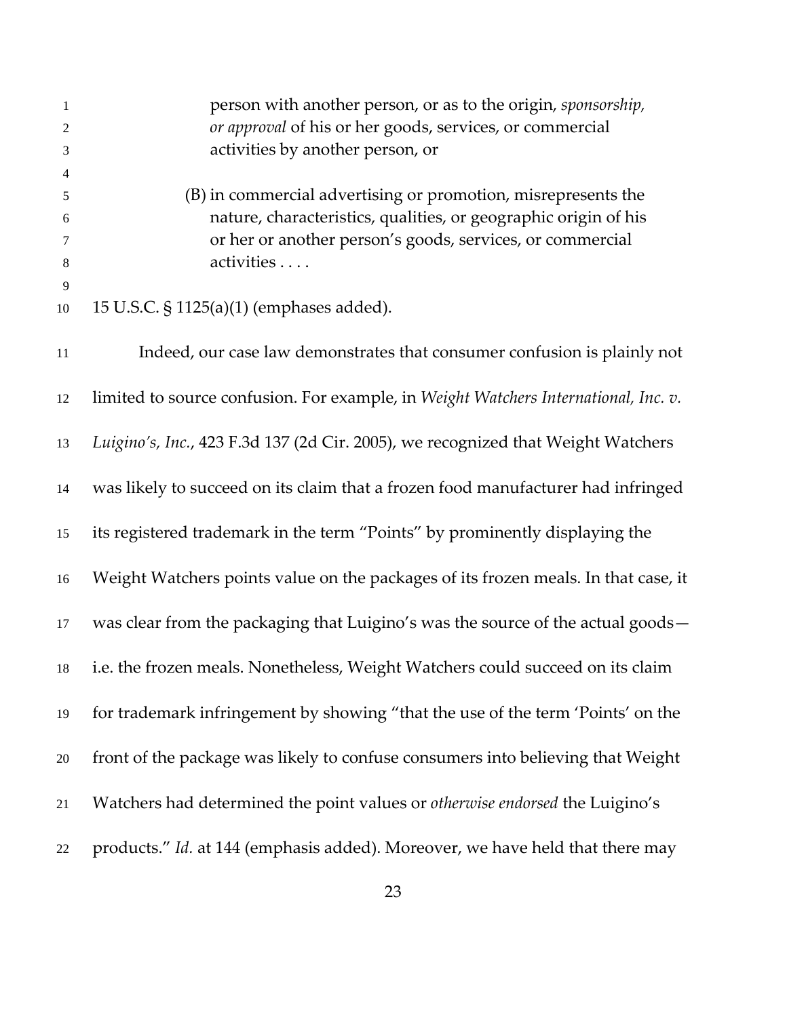| $\mathbf{1}$<br>2                        | person with another person, or as to the origin, sponsorship,<br>or approval of his or her goods, services, or commercial                                                                                   |
|------------------------------------------|-------------------------------------------------------------------------------------------------------------------------------------------------------------------------------------------------------------|
| 3                                        | activities by another person, or                                                                                                                                                                            |
| $\overline{4}$<br>5<br>6<br>7<br>$\,8\,$ | (B) in commercial advertising or promotion, misrepresents the<br>nature, characteristics, qualities, or geographic origin of his<br>or her or another person's goods, services, or commercial<br>activities |
| 9<br>10                                  | 15 U.S.C. § 1125(a)(1) (emphases added).                                                                                                                                                                    |
| 11                                       | Indeed, our case law demonstrates that consumer confusion is plainly not                                                                                                                                    |
| 12                                       | limited to source confusion. For example, in Weight Watchers International, Inc. v.                                                                                                                         |
| 13                                       | Luigino's, Inc., 423 F.3d 137 (2d Cir. 2005), we recognized that Weight Watchers                                                                                                                            |
| 14                                       | was likely to succeed on its claim that a frozen food manufacturer had infringed                                                                                                                            |
| 15                                       | its registered trademark in the term "Points" by prominently displaying the                                                                                                                                 |
| 16                                       | Weight Watchers points value on the packages of its frozen meals. In that case, it                                                                                                                          |
| 17                                       | was clear from the packaging that Luigino's was the source of the actual goods-                                                                                                                             |
|                                          | 18 i.e. the frozen meals. Nonetheless, Weight Watchers could succeed on its claim                                                                                                                           |
| 19                                       | for trademark infringement by showing "that the use of the term 'Points' on the                                                                                                                             |
| 20                                       | front of the package was likely to confuse consumers into believing that Weight                                                                                                                             |
| 21                                       | Watchers had determined the point values or <i>otherwise endorsed</i> the Luigino's                                                                                                                         |
| 22                                       | products." Id. at 144 (emphasis added). Moreover, we have held that there may                                                                                                                               |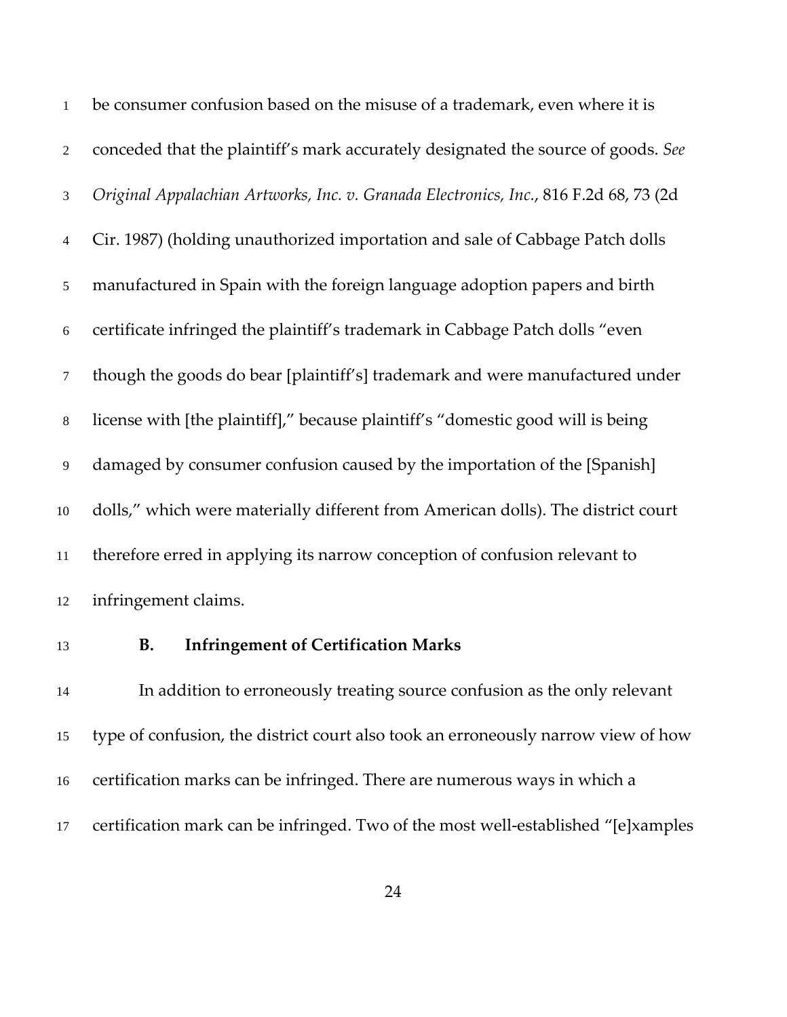be consumer confusion based on the misuse of a trademark, even where it is conceded that the plaintiff's mark accurately designated the source of goods. *See Original Appalachian Artworks, Inc. v. Granada Electronics, Inc.*, 816 F.2d 68, 73 (2d Cir. 1987) (holding unauthorized importation and sale of Cabbage Patch dolls manufactured in Spain with the foreign language adoption papers and birth certificate infringed the plaintiff's trademark in Cabbage Patch dolls "even though the goods do bear [plaintiff's] trademark and were manufactured under license with [the plaintiff]," because plaintiff's "domestic good will is being damaged by consumer confusion caused by the importation of the [Spanish] dolls," which were materially different from American dolls). The district court therefore erred in applying its narrow conception of confusion relevant to infringement claims.

#### **B. Infringement of Certification Marks**

In addition to erroneously treating source confusion as the only relevant type of confusion, the district court also took an erroneously narrow view of how certification marks can be infringed. There are numerous ways in which a 17 certification mark can be infringed. Two of the most well-established "[e]xamples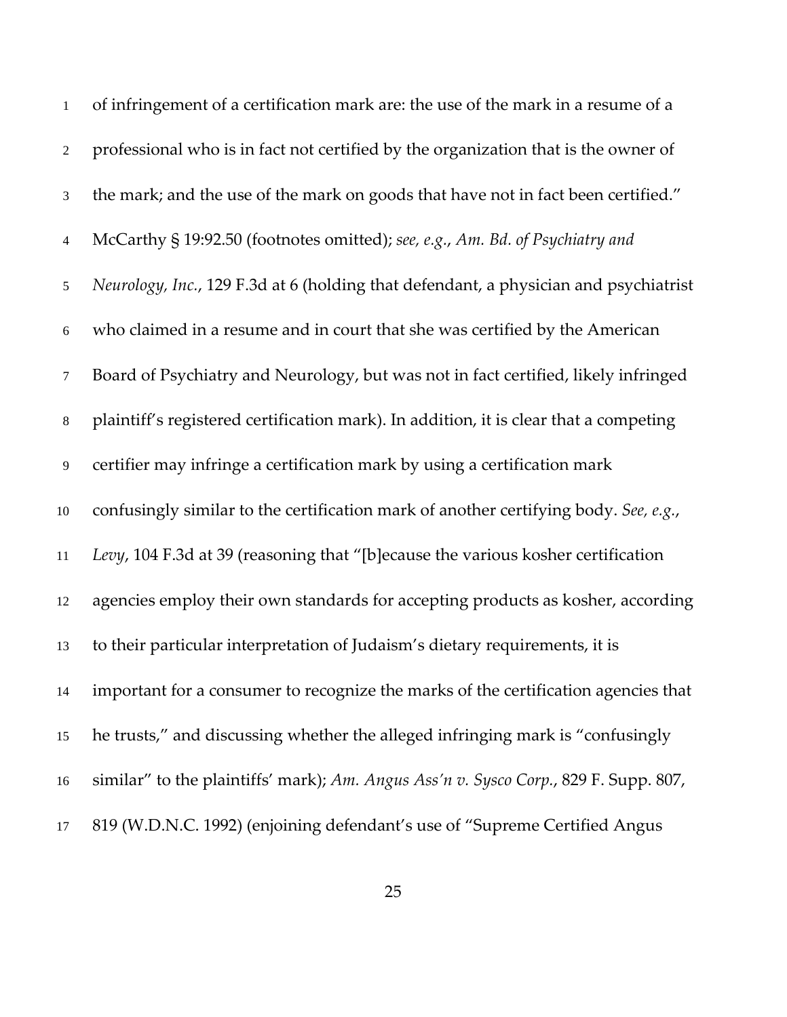| $\mathbf{1}$   | of infringement of a certification mark are: the use of the mark in a resume of a     |
|----------------|---------------------------------------------------------------------------------------|
| $\overline{2}$ | professional who is in fact not certified by the organization that is the owner of    |
| 3              | the mark; and the use of the mark on goods that have not in fact been certified."     |
| $\overline{4}$ | McCarthy § 19:92.50 (footnotes omitted); see, e.g., Am. Bd. of Psychiatry and         |
| $\mathfrak{S}$ | Neurology, Inc., 129 F.3d at 6 (holding that defendant, a physician and psychiatrist  |
| 6              | who claimed in a resume and in court that she was certified by the American           |
| $\tau$         | Board of Psychiatry and Neurology, but was not in fact certified, likely infringed    |
| $\,8\,$        | plaintiff's registered certification mark). In addition, it is clear that a competing |
| $\overline{9}$ | certifier may infringe a certification mark by using a certification mark             |
| $10\,$         | confusingly similar to the certification mark of another certifying body. See, e.g.,  |
| 11             | Levy, 104 F.3d at 39 (reasoning that "[b]ecause the various kosher certification      |
| 12             | agencies employ their own standards for accepting products as kosher, according       |
| 13             | to their particular interpretation of Judaism's dietary requirements, it is           |
| $14\,$         | important for a consumer to recognize the marks of the certification agencies that    |
| 15             | he trusts," and discussing whether the alleged infringing mark is "confusingly        |
| 16             | similar" to the plaintiffs' mark); Am. Angus Ass'n v. Sysco Corp., 829 F. Supp. 807,  |
| 17             | 819 (W.D.N.C. 1992) (enjoining defendant's use of "Supreme Certified Angus            |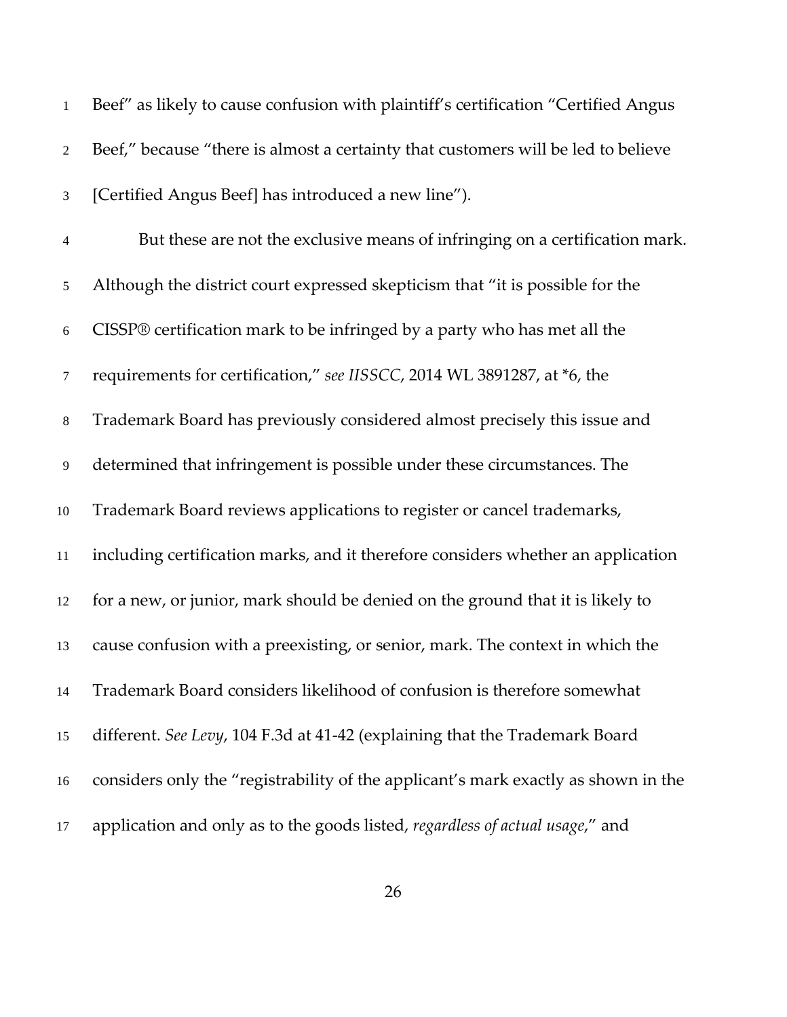| 1              | Beef" as likely to cause confusion with plaintiff's certification "Certified Angus |
|----------------|------------------------------------------------------------------------------------|
| $\overline{2}$ | Beef," because "there is almost a certainty that customers will be led to believe  |
| 3              | [Certified Angus Beef] has introduced a new line").                                |
| $\overline{4}$ | But these are not the exclusive means of infringing on a certification mark.       |
| 5              | Although the district court expressed skepticism that "it is possible for the      |
| $\sqrt{6}$     | CISSP® certification mark to be infringed by a party who has met all the           |
| 7              | requirements for certification," see IISSCC, 2014 WL 3891287, at *6, the           |
| $\,8\,$        | Trademark Board has previously considered almost precisely this issue and          |
| 9              | determined that infringement is possible under these circumstances. The            |
| $10\,$         | Trademark Board reviews applications to register or cancel trademarks,             |
| $11\,$         | including certification marks, and it therefore considers whether an application   |
| 12             | for a new, or junior, mark should be denied on the ground that it is likely to     |
| 13             | cause confusion with a preexisting, or senior, mark. The context in which the      |
| 14             | Trademark Board considers likelihood of confusion is therefore somewhat            |
| 15             | different. See Levy, 104 F.3d at 41-42 (explaining that the Trademark Board        |
| 16             | considers only the "registrability of the applicant's mark exactly as shown in the |
| 17             | application and only as to the goods listed, regardless of actual usage," and      |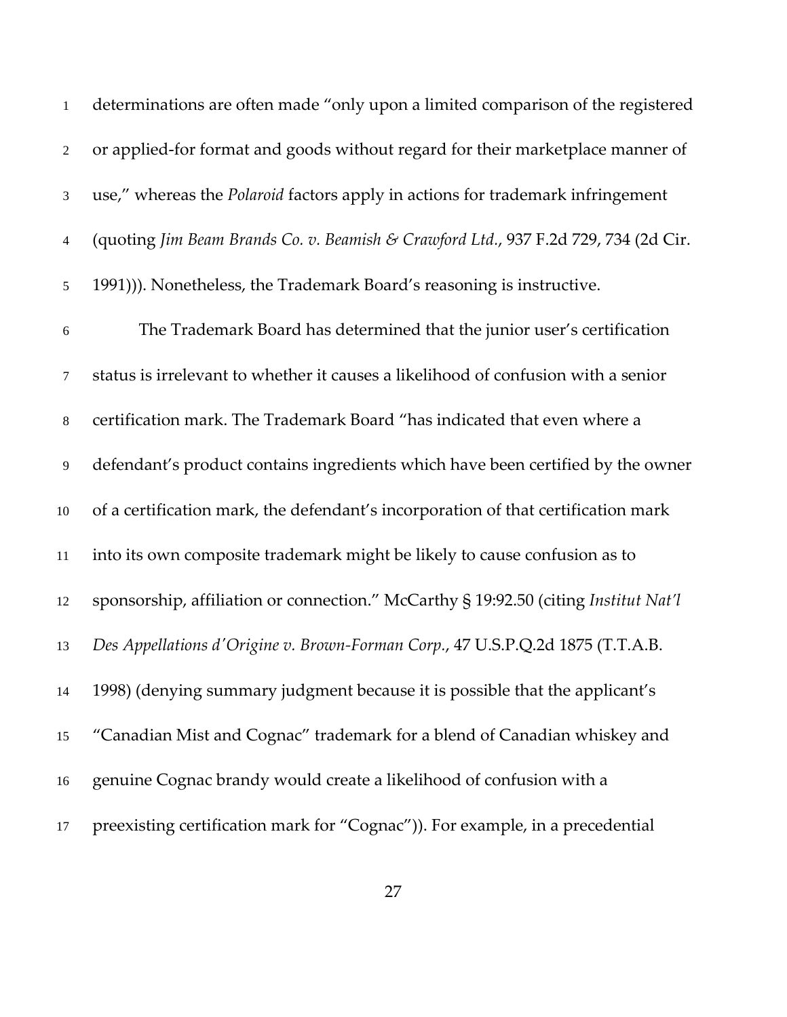| $\mathbf{1}$   | determinations are often made "only upon a limited comparison of the registered       |
|----------------|---------------------------------------------------------------------------------------|
| $\overline{2}$ | or applied-for format and goods without regard for their marketplace manner of        |
| $\mathfrak{Z}$ | use," whereas the <i>Polaroid</i> factors apply in actions for trademark infringement |
| 4              | (quoting Jim Beam Brands Co. v. Beamish & Crawford Ltd., 937 F.2d 729, 734 (2d Cir.   |
| 5              | 1991))). Nonetheless, the Trademark Board's reasoning is instructive.                 |
| $\sqrt{6}$     | The Trademark Board has determined that the junior user's certification               |
| $\tau$         | status is irrelevant to whether it causes a likelihood of confusion with a senior     |
| $8\,$          | certification mark. The Trademark Board "has indicated that even where a              |
| 9              | defendant's product contains ingredients which have been certified by the owner       |
| 10             | of a certification mark, the defendant's incorporation of that certification mark     |
| $11\,$         | into its own composite trademark might be likely to cause confusion as to             |
| 12             | sponsorship, affiliation or connection." McCarthy § 19:92.50 (citing Institut Nat'l   |
| 13             | Des Appellations d'Origine v. Brown-Forman Corp., 47 U.S.P.Q.2d 1875 (T.T.A.B.        |
| 14             | 1998) (denying summary judgment because it is possible that the applicant's           |
| 15             | "Canadian Mist and Cognac" trademark for a blend of Canadian whiskey and              |
| 16             | genuine Cognac brandy would create a likelihood of confusion with a                   |
| 17             | preexisting certification mark for "Cognac")). For example, in a precedential         |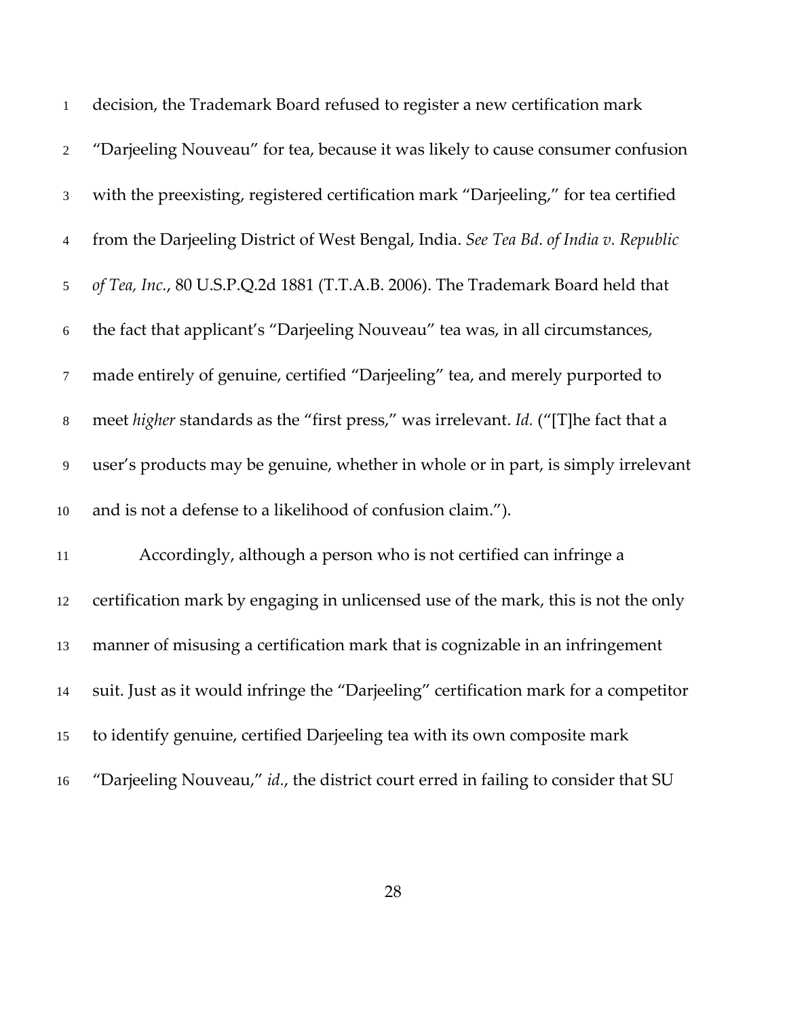| $\mathbf{1}$   | decision, the Trademark Board refused to register a new certification mark           |
|----------------|--------------------------------------------------------------------------------------|
| $\overline{2}$ | "Darjeeling Nouveau" for tea, because it was likely to cause consumer confusion      |
| $\mathfrak{Z}$ | with the preexisting, registered certification mark "Darjeeling," for tea certified  |
| $\overline{4}$ | from the Darjeeling District of West Bengal, India. See Tea Bd. of India v. Republic |
| 5 <sup>5</sup> | of Tea, Inc., 80 U.S.P.Q.2d 1881 (T.T.A.B. 2006). The Trademark Board held that      |
| 6              | the fact that applicant's "Darjeeling Nouveau" tea was, in all circumstances,        |
| $\tau$         | made entirely of genuine, certified "Darjeeling" tea, and merely purported to        |
| $\,8\,$        | meet higher standards as the "first press," was irrelevant. Id. ("[T]he fact that a  |
| $\overline{9}$ | user's products may be genuine, whether in whole or in part, is simply irrelevant    |
| $10\,$         | and is not a defense to a likelihood of confusion claim.").                          |
| 11             | Accordingly, although a person who is not certified can infringe a                   |
| 12             | certification mark by engaging in unlicensed use of the mark, this is not the only   |
| 13             | manner of misusing a certification mark that is cognizable in an infringement        |
| 14             | suit. Just as it would infringe the "Darjeeling" certification mark for a competitor |
| 15             | to identify genuine, certified Darjeeling tea with its own composite mark            |
| 16             | "Darjeeling Nouveau," id., the district court erred in failing to consider that SU   |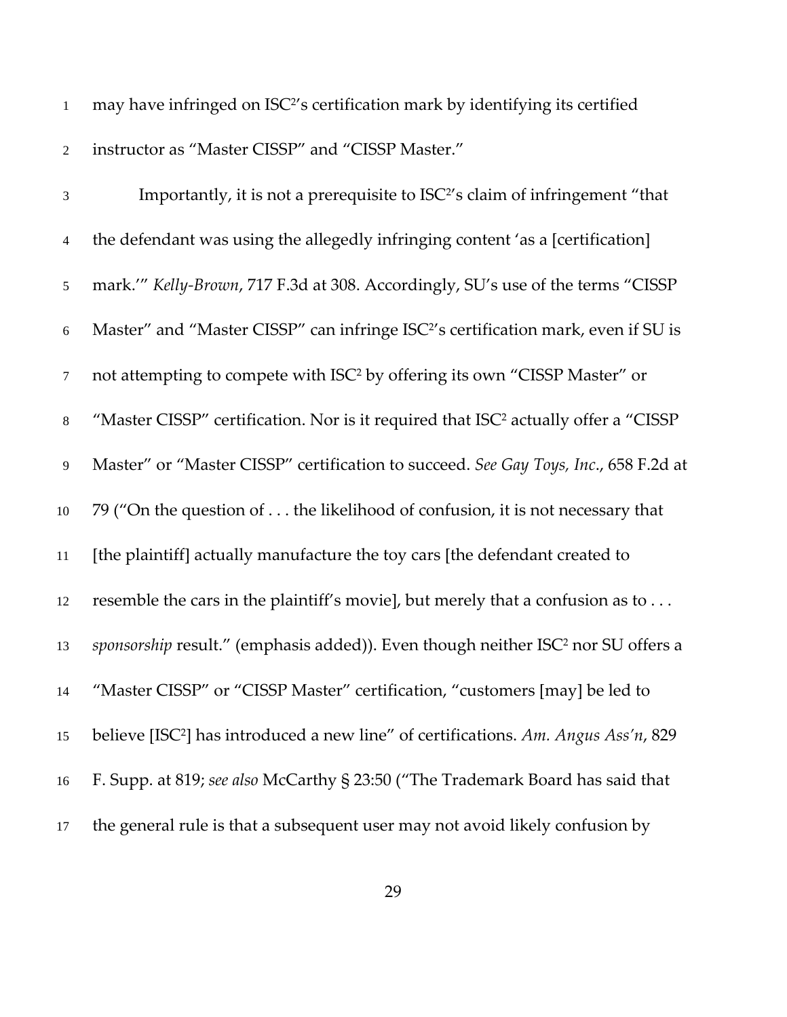1 may have infringed on ISC<sup>2</sup>'s certification mark by identifying its certified instructor as "Master CISSP" and "CISSP Master."

| $\mathfrak{Z}$   | Importantly, it is not a prerequisite to ISC <sup>2</sup> 's claim of infringement "that        |
|------------------|-------------------------------------------------------------------------------------------------|
| $\overline{4}$   | the defendant was using the allegedly infringing content 'as a [certification]                  |
| $\sqrt{5}$       | mark."" Kelly-Brown, 717 F.3d at 308. Accordingly, SU's use of the terms "CISSP                 |
| 6                | Master" and "Master CISSP" can infringe ISC <sup>2</sup> 's certification mark, even if SU is   |
| $\boldsymbol{7}$ | not attempting to compete with ISC <sup>2</sup> by offering its own "CISSP Master" or           |
| $\,8\,$          | "Master CISSP" certification. Nor is it required that ISC <sup>2</sup> actually offer a "CISSP" |
| 9                | Master" or "Master CISSP" certification to succeed. See Gay Toys, Inc., 658 F.2d at             |
| $10\,$           | 79 ("On the question of the likelihood of confusion, it is not necessary that                   |
| 11               | [the plaintiff] actually manufacture the toy cars [the defendant created to                     |
| 12               | resemble the cars in the plaintiff's movie], but merely that a confusion as to                  |
| 13               | sponsorship result." (emphasis added)). Even though neither ISC <sup>2</sup> nor SU offers a    |
| 14               | "Master CISSP" or "CISSP Master" certification, "customers [may] be led to                      |
| 15               | believe [ISC <sup>2</sup> ] has introduced a new line" of certifications. Am. Angus Ass'n, 829  |
| 16               | F. Supp. at 819; see also McCarthy § 23:50 ("The Trademark Board has said that                  |
| 17               | the general rule is that a subsequent user may not avoid likely confusion by                    |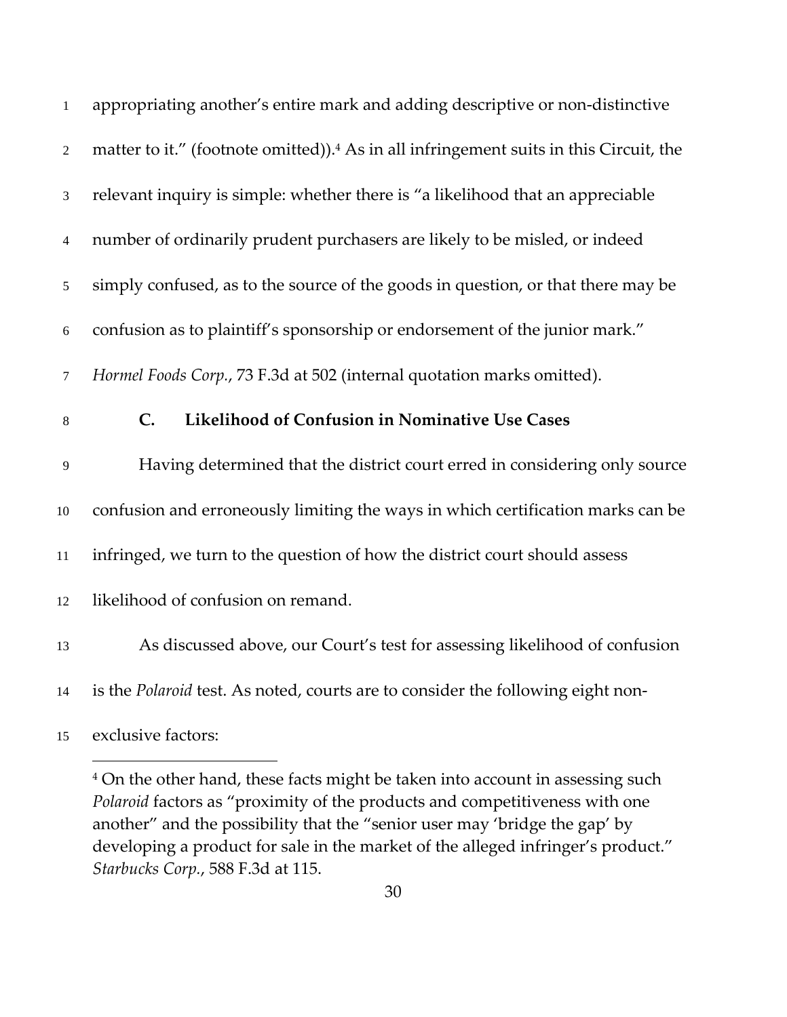| 1              | appropriating another's entire mark and adding descriptive or non-distinctive                      |
|----------------|----------------------------------------------------------------------------------------------------|
| $\overline{2}$ | matter to it." (footnote omitted)). <sup>4</sup> As in all infringement suits in this Circuit, the |
| 3              | relevant inquiry is simple: whether there is "a likelihood that an appreciable                     |
| $\overline{4}$ | number of ordinarily prudent purchasers are likely to be misled, or indeed                         |
| $\mathfrak{S}$ | simply confused, as to the source of the goods in question, or that there may be                   |
| 6              | confusion as to plaintiff's sponsorship or endorsement of the junior mark."                        |
| $\tau$         | Hormel Foods Corp., 73 F.3d at 502 (internal quotation marks omitted).                             |
| $\,8\,$        | C.<br>Likelihood of Confusion in Nominative Use Cases                                              |
| $\overline{9}$ | Having determined that the district court erred in considering only source                         |
| $10\,$         | confusion and erroneously limiting the ways in which certification marks can be                    |
| 11             | infringed, we turn to the question of how the district court should assess                         |
| 12             | likelihood of confusion on remand.                                                                 |
| 13             | As discussed above, our Court's test for assessing likelihood of confusion                         |
| 14             |                                                                                                    |
|                | is the Polaroid test. As noted, courts are to consider the following eight non-                    |

exclusive factors:

<sup>&</sup>lt;sup>4</sup> On the other hand, these facts might be taken into account in assessing such *Polaroid* factors as "proximity of the products and competitiveness with one another" and the possibility that the "senior user may 'bridge the gap' by developing a product for sale in the market of the alleged infringer's product." *Starbucks Corp.*, 588 F.3d at 115.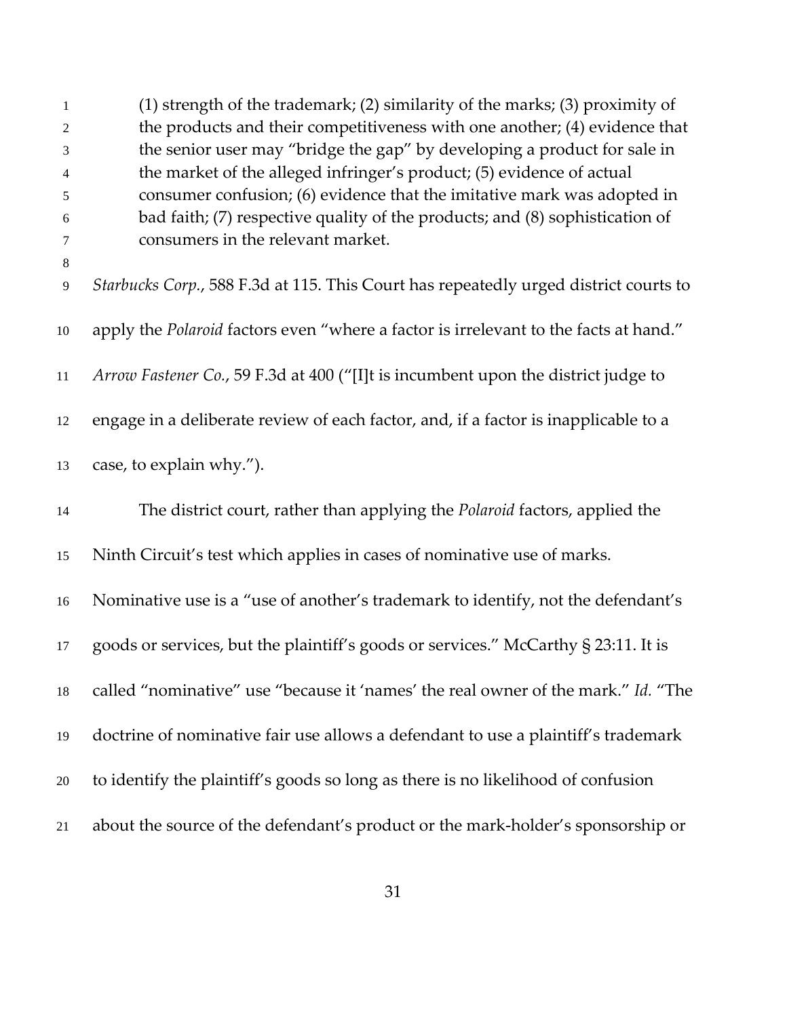| 1<br>2       | (1) strength of the trademark; (2) similarity of the marks; (3) proximity of<br>the products and their competitiveness with one another; (4) evidence that |
|--------------|------------------------------------------------------------------------------------------------------------------------------------------------------------|
| 3            | the senior user may "bridge the gap" by developing a product for sale in                                                                                   |
| 4            | the market of the alleged infringer's product; (5) evidence of actual                                                                                      |
| 5            | consumer confusion; (6) evidence that the imitative mark was adopted in                                                                                    |
| 6            | bad faith; (7) respective quality of the products; and (8) sophistication of                                                                               |
| 7            | consumers in the relevant market.                                                                                                                          |
| $\,8\,$<br>9 | Starbucks Corp., 588 F.3d at 115. This Court has repeatedly urged district courts to                                                                       |
| 10           | apply the Polaroid factors even "where a factor is irrelevant to the facts at hand."                                                                       |
| 11           | Arrow Fastener Co., 59 F.3d at 400 ("[I]t is incumbent upon the district judge to                                                                          |
| 12           | engage in a deliberate review of each factor, and, if a factor is inapplicable to a                                                                        |
| 13           | case, to explain why.").                                                                                                                                   |
| 14           | The district court, rather than applying the Polaroid factors, applied the                                                                                 |
| 15           | Ninth Circuit's test which applies in cases of nominative use of marks.                                                                                    |
| 16           | Nominative use is a "use of another's trademark to identify, not the defendant's                                                                           |
| 17           | goods or services, but the plaintiff's goods or services." McCarthy § 23:11. It is                                                                         |
| 18           | called "nominative" use "because it 'names' the real owner of the mark." Id. "The                                                                          |
| 19           | doctrine of nominative fair use allows a defendant to use a plaintiff's trademark                                                                          |
| 20           | to identify the plaintiff's goods so long as there is no likelihood of confusion                                                                           |
| 21           | about the source of the defendant's product or the mark-holder's sponsorship or                                                                            |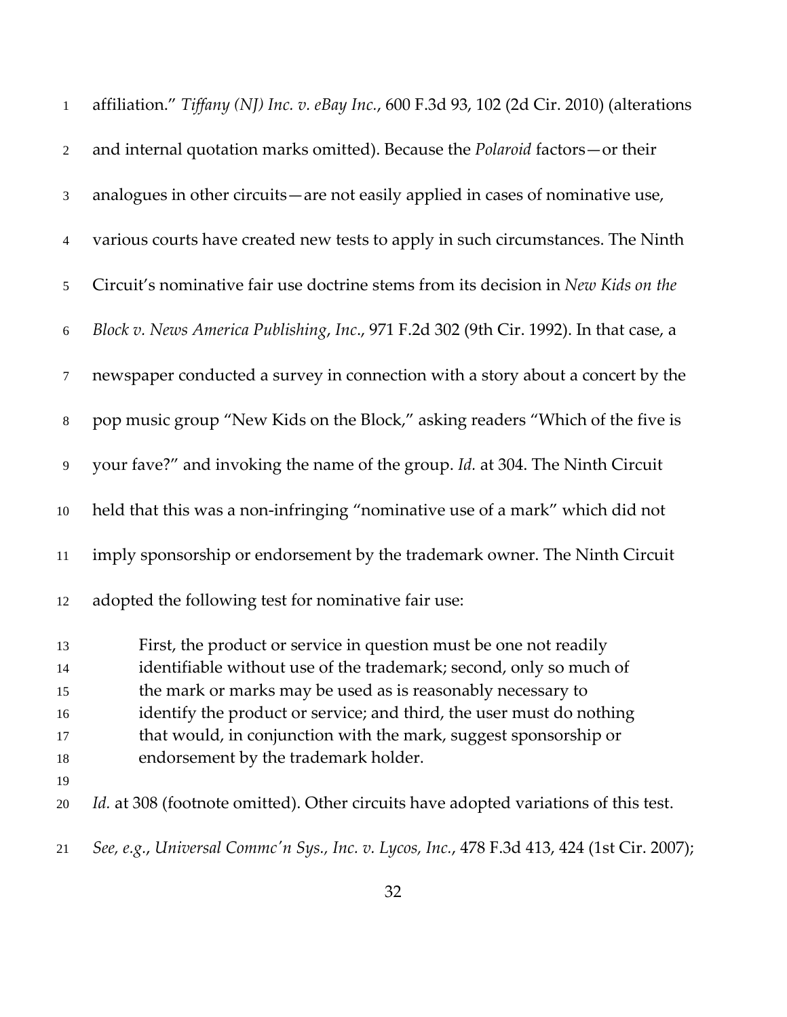| $\mathbf{1}$                           | affiliation." Tiffany (NJ) Inc. v. eBay Inc., 600 F.3d 93, 102 (2d Cir. 2010) (alterations                                                                                                                                                                                                                                                                                                 |
|----------------------------------------|--------------------------------------------------------------------------------------------------------------------------------------------------------------------------------------------------------------------------------------------------------------------------------------------------------------------------------------------------------------------------------------------|
| 2                                      | and internal quotation marks omitted). Because the <i>Polaroid</i> factors-or their                                                                                                                                                                                                                                                                                                        |
| 3                                      | analogues in other circuits—are not easily applied in cases of nominative use,                                                                                                                                                                                                                                                                                                             |
| $\overline{4}$                         | various courts have created new tests to apply in such circumstances. The Ninth                                                                                                                                                                                                                                                                                                            |
| 5                                      | Circuit's nominative fair use doctrine stems from its decision in New Kids on the                                                                                                                                                                                                                                                                                                          |
| 6                                      | Block v. News America Publishing, Inc., 971 F.2d 302 (9th Cir. 1992). In that case, a                                                                                                                                                                                                                                                                                                      |
| $\tau$                                 | newspaper conducted a survey in connection with a story about a concert by the                                                                                                                                                                                                                                                                                                             |
| $8\,$                                  | pop music group "New Kids on the Block," asking readers "Which of the five is                                                                                                                                                                                                                                                                                                              |
| 9                                      | your fave?" and invoking the name of the group. Id. at 304. The Ninth Circuit                                                                                                                                                                                                                                                                                                              |
| $10\,$                                 | held that this was a non-infringing "nominative use of a mark" which did not                                                                                                                                                                                                                                                                                                               |
| 11                                     | imply sponsorship or endorsement by the trademark owner. The Ninth Circuit                                                                                                                                                                                                                                                                                                                 |
| 12                                     | adopted the following test for nominative fair use:                                                                                                                                                                                                                                                                                                                                        |
| 13<br>14<br>15<br>16<br>17<br>18<br>19 | First, the product or service in question must be one not readily<br>identifiable without use of the trademark; second, only so much of<br>the mark or marks may be used as is reasonably necessary to<br>identify the product or service; and third, the user must do nothing<br>that would, in conjunction with the mark, suggest sponsorship or<br>endorsement by the trademark holder. |
| 20                                     | Id. at 308 (footnote omitted). Other circuits have adopted variations of this test.                                                                                                                                                                                                                                                                                                        |
| 21                                     | See, e.g., Universal Commc'n Sys., Inc. v. Lycos, Inc., 478 F.3d 413, 424 (1st Cir. 2007);                                                                                                                                                                                                                                                                                                 |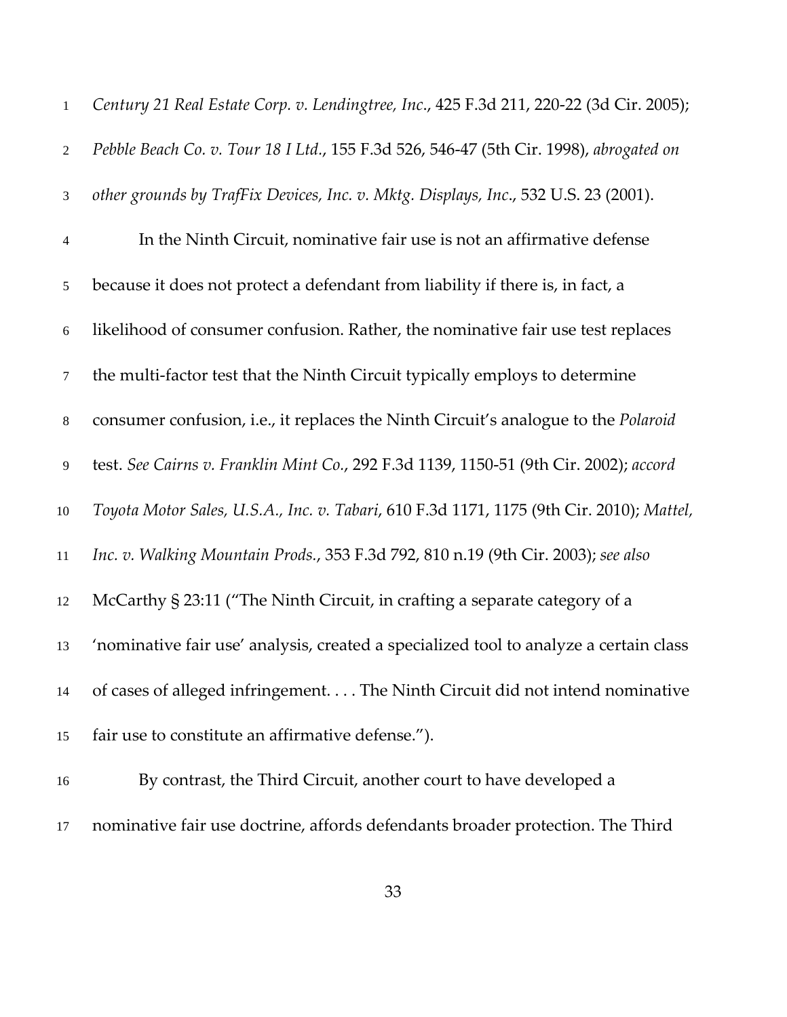| $\mathbf{1}$     | Century 21 Real Estate Corp. v. Lendingtree, Inc., 425 F.3d 211, 220-22 (3d Cir. 2005);  |
|------------------|------------------------------------------------------------------------------------------|
| $\overline{2}$   | Pebble Beach Co. v. Tour 18 I Ltd., 155 F.3d 526, 546-47 (5th Cir. 1998), abrogated on   |
| 3                | other grounds by TrafFix Devices, Inc. v. Mktg. Displays, Inc., 532 U.S. 23 (2001).      |
| $\overline{4}$   | In the Ninth Circuit, nominative fair use is not an affirmative defense                  |
| 5                | because it does not protect a defendant from liability if there is, in fact, a           |
| $\boldsymbol{6}$ | likelihood of consumer confusion. Rather, the nominative fair use test replaces          |
| $\tau$           | the multi-factor test that the Ninth Circuit typically employs to determine              |
| $8\,$            | consumer confusion, i.e., it replaces the Ninth Circuit's analogue to the Polaroid       |
| 9                | test. See Cairns v. Franklin Mint Co., 292 F.3d 1139, 1150-51 (9th Cir. 2002); accord    |
| $10\,$           | Toyota Motor Sales, U.S.A., Inc. v. Tabari, 610 F.3d 1171, 1175 (9th Cir. 2010); Mattel, |
| 11               | Inc. v. Walking Mountain Prods., 353 F.3d 792, 810 n.19 (9th Cir. 2003); see also        |
| 12               | McCarthy § 23:11 ("The Ninth Circuit, in crafting a separate category of a               |
| 13               | 'nominative fair use' analysis, created a specialized tool to analyze a certain class    |
| 14               | of cases of alleged infringement. The Ninth Circuit did not intend nominative            |
| 15               | fair use to constitute an affirmative defense.").                                        |
| 16               | By contrast, the Third Circuit, another court to have developed a                        |
|                  |                                                                                          |

nominative fair use doctrine, affords defendants broader protection. The Third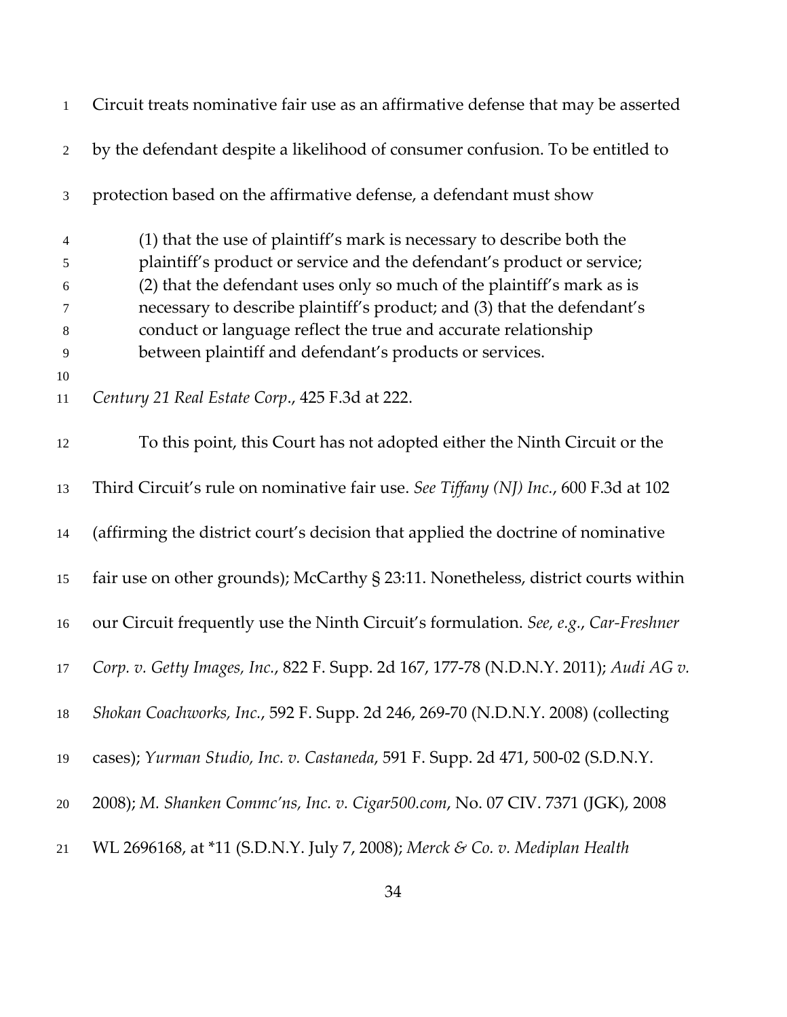| $\mathbf{1}$     | Circuit treats nominative fair use as an affirmative defense that may be asserted    |
|------------------|--------------------------------------------------------------------------------------|
| $\overline{2}$   | by the defendant despite a likelihood of consumer confusion. To be entitled to       |
| $\mathfrak{Z}$   | protection based on the affirmative defense, a defendant must show                   |
| $\overline{4}$   | (1) that the use of plaintiff's mark is necessary to describe both the               |
| 5                | plaintiff's product or service and the defendant's product or service;               |
| $\boldsymbol{6}$ | (2) that the defendant uses only so much of the plaintiff's mark as is               |
| 7                | necessary to describe plaintiff's product; and (3) that the defendant's              |
| 8                | conduct or language reflect the true and accurate relationship                       |
| $\overline{9}$   | between plaintiff and defendant's products or services.                              |
| 10               |                                                                                      |
| 11               | Century 21 Real Estate Corp., 425 F.3d at 222.                                       |
| 12               | To this point, this Court has not adopted either the Ninth Circuit or the            |
| 13               | Third Circuit's rule on nominative fair use. See Tiffany (NJ) Inc., 600 F.3d at 102  |
| 14               | (affirming the district court's decision that applied the doctrine of nominative     |
| 15               | fair use on other grounds); McCarthy § 23:11. Nonetheless, district courts within    |
| 16               | our Circuit frequently use the Ninth Circuit's formulation. See, e.g., Car-Freshner  |
| 17               | Corp. v. Getty Images, Inc., 822 F. Supp. 2d 167, 177-78 (N.D.N.Y. 2011); Audi AG v. |
| 18               | Shokan Coachworks, Inc., 592 F. Supp. 2d 246, 269-70 (N.D.N.Y. 2008) (collecting     |
| 19               | cases); Yurman Studio, Inc. v. Castaneda, 591 F. Supp. 2d 471, 500-02 (S.D.N.Y.      |
| $20\,$           | 2008); M. Shanken Commc'ns, Inc. v. Cigar500.com, No. 07 CIV. 7371 (JGK), 2008       |
| 21               | WL 2696168, at *11 (S.D.N.Y. July 7, 2008); Merck & Co. v. Mediplan Health           |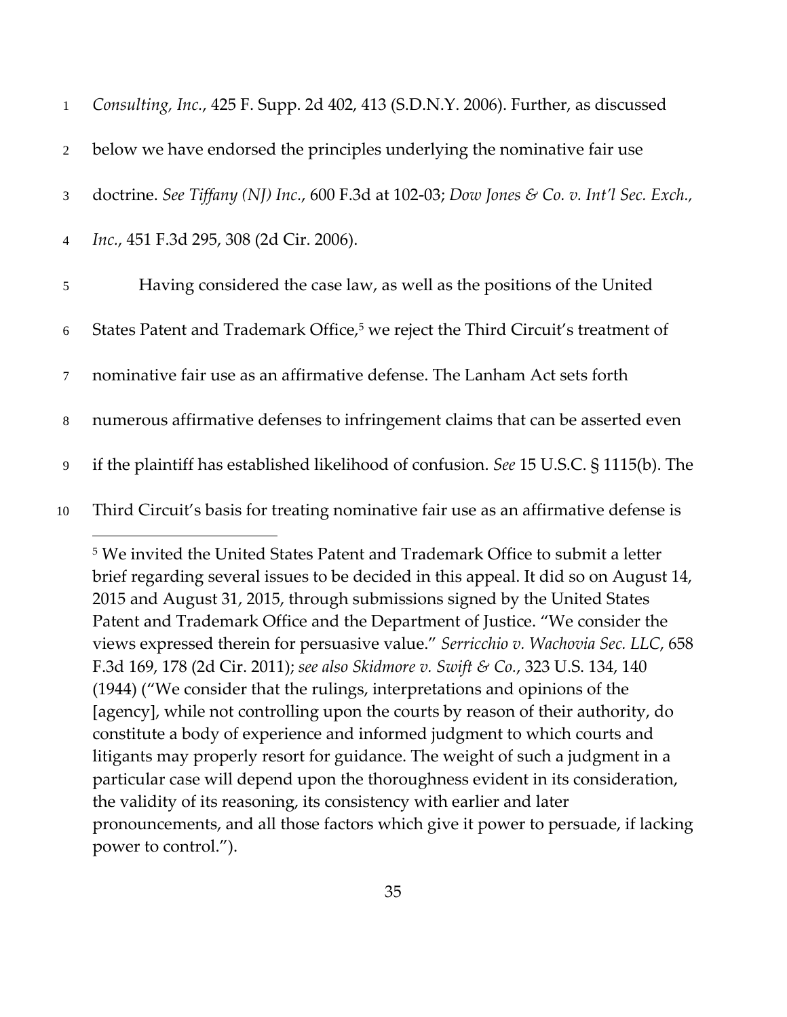| $\mathbf{1}$   | Consulting, Inc., 425 F. Supp. 2d 402, 413 (S.D.N.Y. 2006). Further, as discussed           |
|----------------|---------------------------------------------------------------------------------------------|
| 2              | below we have endorsed the principles underlying the nominative fair use                    |
| 3              | doctrine. See Tiffany (NJ) Inc., 600 F.3d at 102-03; Dow Jones & Co. v. Int'l Sec. Exch.,   |
| $\overline{4}$ | Inc., 451 F.3d 295, 308 (2d Cir. 2006).                                                     |
| 5              | Having considered the case law, as well as the positions of the United                      |
| 6              | States Patent and Trademark Office, <sup>5</sup> we reject the Third Circuit's treatment of |
| $\tau$         | nominative fair use as an affirmative defense. The Lanham Act sets forth                    |
| 8              | numerous affirmative defenses to infringement claims that can be asserted even              |
| 9              | if the plaintiff has established likelihood of confusion. See 15 U.S.C. § 1115(b). The      |
| 10             | Third Circuit's basis for treating nominative fair use as an affirmative defense is         |

<sup>5</sup> We invited the United States Patent and Trademark Office to submit a letter brief regarding several issues to be decided in this appeal. It did so on August 14, 2015 and August 31, 2015, through submissions signed by the United States Patent and Trademark Office and the Department of Justice. "We consider the views expressed therein for persuasive value." *Serricchio v. Wachovia Sec. LLC*, 658 F.3d 169, 178 (2d Cir. 2011); *see also Skidmore v. Swift & Co.*, 323 U.S. 134, 140 (1944) ("We consider that the rulings, interpretations and opinions of the [agency], while not controlling upon the courts by reason of their authority, do constitute a body of experience and informed judgment to which courts and litigants may properly resort for guidance. The weight of such a judgment in a particular case will depend upon the thoroughness evident in its consideration, the validity of its reasoning, its consistency with earlier and later pronouncements, and all those factors which give it power to persuade, if lacking power to control.").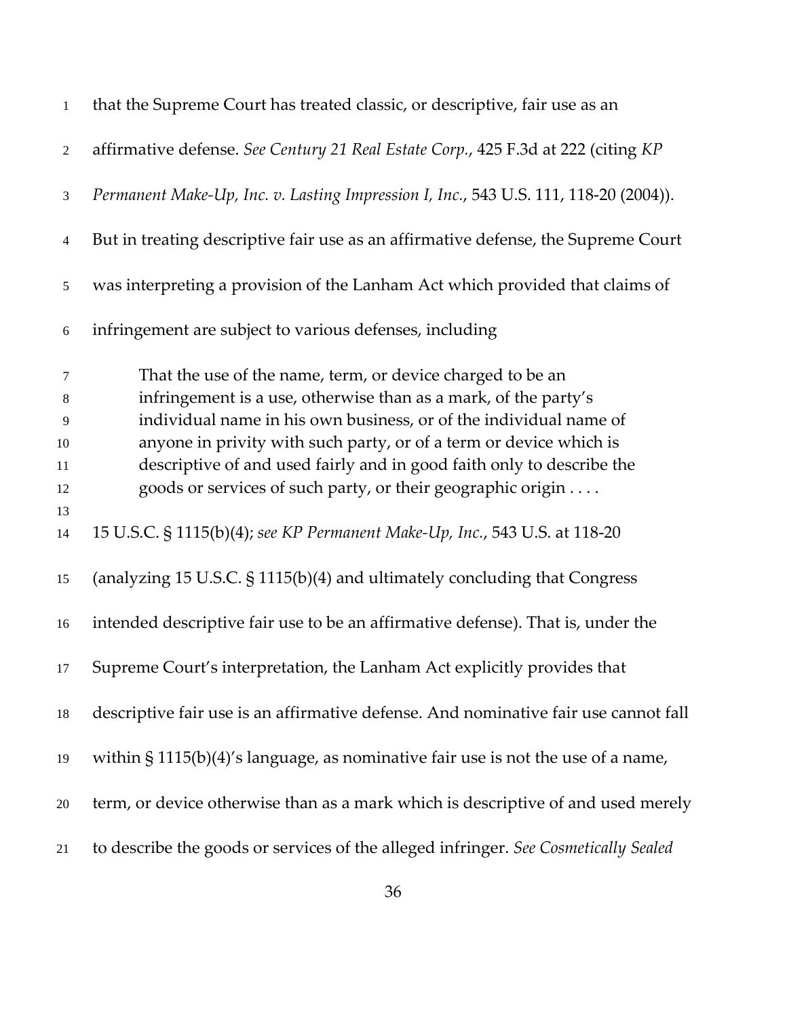| $\mathbf{1}$     | that the Supreme Court has treated classic, or descriptive, fair use as an           |
|------------------|--------------------------------------------------------------------------------------|
| $\sqrt{2}$       | affirmative defense. See Century 21 Real Estate Corp., 425 F.3d at 222 (citing KP    |
| 3                | Permanent Make-Up, Inc. v. Lasting Impression I, Inc., 543 U.S. 111, 118-20 (2004)). |
| 4                | But in treating descriptive fair use as an affirmative defense, the Supreme Court    |
| 5                | was interpreting a provision of the Lanham Act which provided that claims of         |
| $\boldsymbol{6}$ | infringement are subject to various defenses, including                              |
| $\tau$           | That the use of the name, term, or device charged to be an                           |
| $8\,$            | infringement is a use, otherwise than as a mark, of the party's                      |
| 9                | individual name in his own business, or of the individual name of                    |
| $10\,$           | anyone in privity with such party, or of a term or device which is                   |
| 11               | descriptive of and used fairly and in good faith only to describe the                |
| 12               | goods or services of such party, or their geographic origin                          |
| 13               |                                                                                      |
| 14               | 15 U.S.C. § 1115(b)(4); see KP Permanent Make-Up, Inc., 543 U.S. at 118-20           |
| 15               | (analyzing 15 U.S.C. § 1115(b)(4) and ultimately concluding that Congress            |
| 16               | intended descriptive fair use to be an affirmative defense). That is, under the      |
| 17               | Supreme Court's interpretation, the Lanham Act explicitly provides that              |
| 18               | descriptive fair use is an affirmative defense. And nominative fair use cannot fall  |
| 19               | within $\S 1115(b)(4)'$ s language, as nominative fair use is not the use of a name, |
| $20\,$           | term, or device otherwise than as a mark which is descriptive of and used merely     |
| 21               | to describe the goods or services of the alleged infringer. See Cosmetically Sealed  |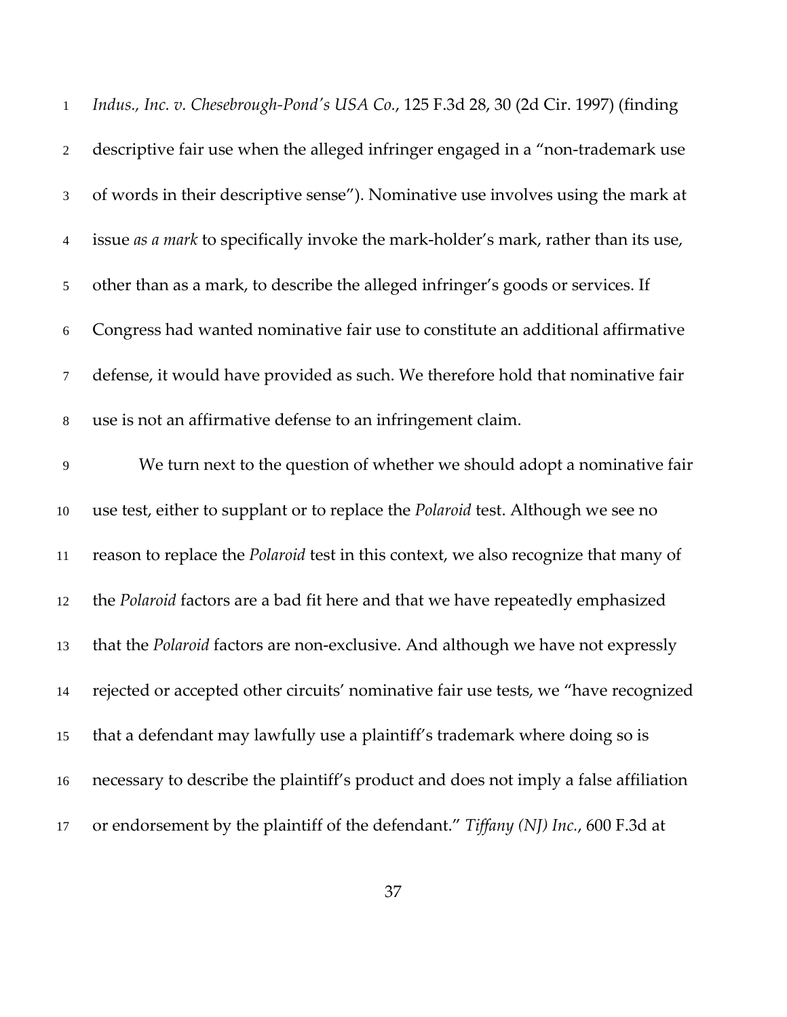| $\mathbf{1}$   | Indus., Inc. v. Chesebrough-Pond's USA Co., 125 F.3d 28, 30 (2d Cir. 1997) (finding  |
|----------------|--------------------------------------------------------------------------------------|
| $\sqrt{2}$     | descriptive fair use when the alleged infringer engaged in a "non-trademark use      |
| $\mathfrak{Z}$ | of words in their descriptive sense"). Nominative use involves using the mark at     |
| $\overline{4}$ | issue as a mark to specifically invoke the mark-holder's mark, rather than its use,  |
| $\mathfrak{S}$ | other than as a mark, to describe the alleged infringer's goods or services. If      |
| 6              | Congress had wanted nominative fair use to constitute an additional affirmative      |
| $\tau$         | defense, it would have provided as such. We therefore hold that nominative fair      |
| $8\,$          | use is not an affirmative defense to an infringement claim.                          |
| 9              | We turn next to the question of whether we should adopt a nominative fair            |
| 10             | use test, either to supplant or to replace the Polaroid test. Although we see no     |
| 11             | reason to replace the Polaroid test in this context, we also recognize that many of  |
| 12             | the Polaroid factors are a bad fit here and that we have repeatedly emphasized       |
| 13             | that the Polaroid factors are non-exclusive. And although we have not expressly      |
| 14             | rejected or accepted other circuits' nominative fair use tests, we "have recognized  |
| 15             | that a defendant may lawfully use a plaintiff's trademark where doing so is          |
| 16             | necessary to describe the plaintiff's product and does not imply a false affiliation |
| 17             | or endorsement by the plaintiff of the defendant." Tiffany (NJ) Inc., 600 F.3d at    |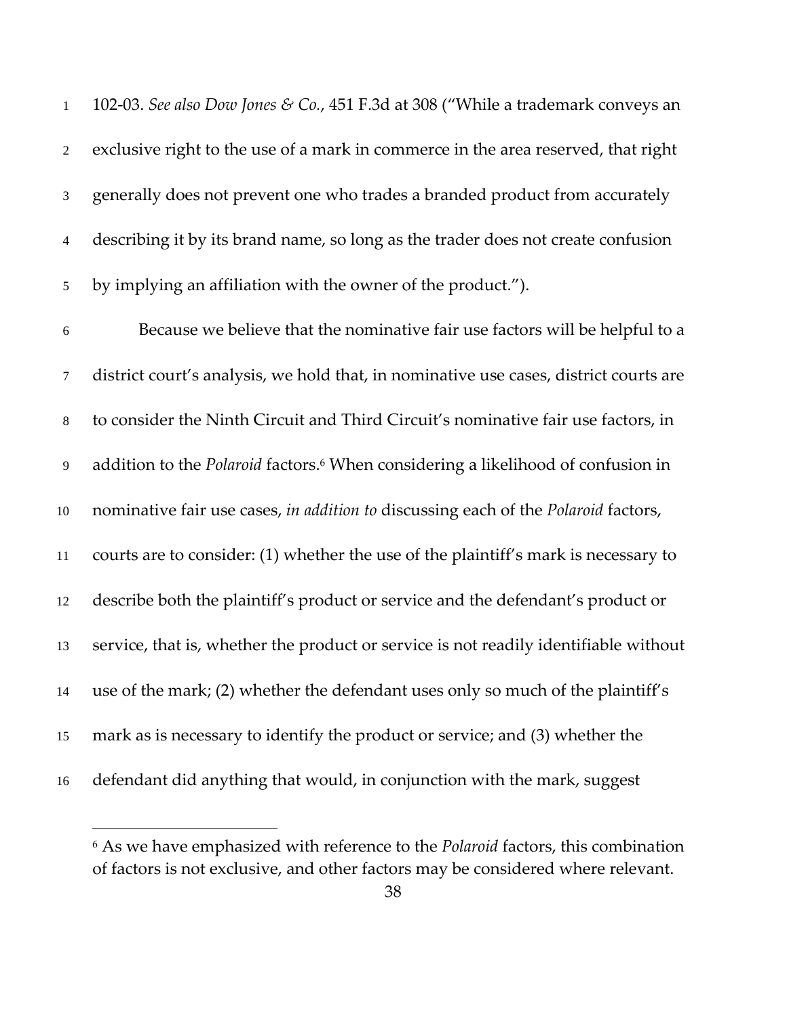102‐03. *See also Dow Jones & Co.*, 451 F.3d at 308 ("While a trademark conveys an exclusive right to the use of a mark in commerce in the area reserved, that right generally does not prevent one who trades a branded product from accurately describing it by its brand name, so long as the trader does not create confusion by implying an affiliation with the owner of the product.").

Because we believe that the nominative fair use factors will be helpful to a district court's analysis, we hold that, in nominative use cases, district courts are to consider the Ninth Circuit and Third Circuit's nominative fair use factors, in 9 addition to the *Polaroid* factors.<sup>6</sup> When considering a likelihood of confusion in nominative fair use cases, *in addition to* discussing each of the *Polaroid* factors, courts are to consider: (1) whether the use of the plaintiff's mark is necessary to describe both the plaintiff's product or service and the defendant's product or service, that is, whether the product or service is not readily identifiable without use of the mark; (2) whether the defendant uses only so much of the plaintiff's mark as is necessary to identify the product or service; and (3) whether the defendant did anything that would, in conjunction with the mark, suggest

 As we have emphasized with reference to the *Polaroid* factors, this combination of factors is not exclusive, and other factors may be considered where relevant.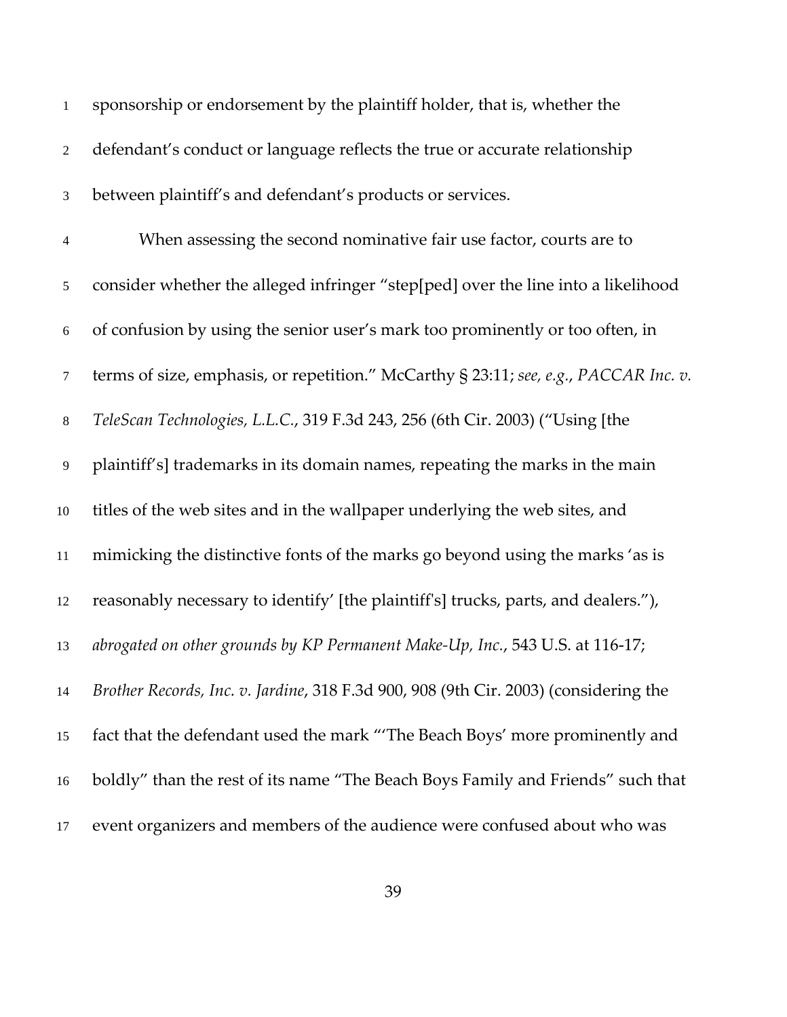| $\mathbf{1}$     | sponsorship or endorsement by the plaintiff holder, that is, whether the             |
|------------------|--------------------------------------------------------------------------------------|
| $\overline{2}$   | defendant's conduct or language reflects the true or accurate relationship           |
| 3                | between plaintiff's and defendant's products or services.                            |
| 4                | When assessing the second nominative fair use factor, courts are to                  |
| 5                | consider whether the alleged infringer "step[ped] over the line into a likelihood    |
| $\boldsymbol{6}$ | of confusion by using the senior user's mark too prominently or too often, in        |
| $\tau$           | terms of size, emphasis, or repetition." McCarthy § 23:11; see, e.g., PACCAR Inc. v. |
| $8\,$            | TeleScan Technologies, L.L.C., 319 F.3d 243, 256 (6th Cir. 2003) ("Using [the        |
| 9                | plaintiff's] trademarks in its domain names, repeating the marks in the main         |
| $10\,$           | titles of the web sites and in the wallpaper underlying the web sites, and           |
| 11               | mimicking the distinctive fonts of the marks go beyond using the marks 'as is        |
| 12               | reasonably necessary to identify' [the plaintiff's] trucks, parts, and dealers."),   |
| 13               | abrogated on other grounds by KP Permanent Make-Up, Inc., 543 U.S. at 116-17;        |
| 14               | Brother Records, Inc. v. Jardine, 318 F.3d 900, 908 (9th Cir. 2003) (considering the |
| 15               | fact that the defendant used the mark "The Beach Boys' more prominently and          |
| 16               | boldly" than the rest of its name "The Beach Boys Family and Friends" such that      |
| 17               | event organizers and members of the audience were confused about who was             |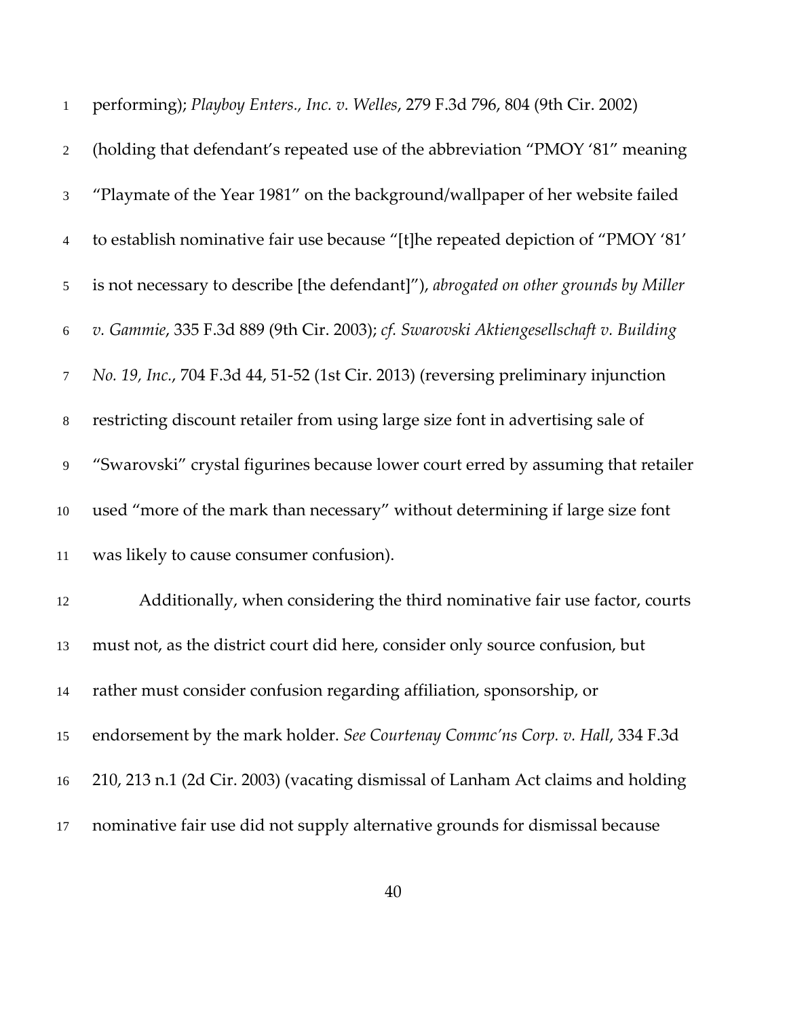| $\mathbf{1}$   | performing); Playboy Enters., Inc. v. Welles, 279 F.3d 796, 804 (9th Cir. 2002)       |
|----------------|---------------------------------------------------------------------------------------|
| $\overline{2}$ | (holding that defendant's repeated use of the abbreviation "PMOY '81" meaning         |
| $\mathfrak{Z}$ | "Playmate of the Year 1981" on the background/wallpaper of her website failed         |
| $\overline{4}$ | to establish nominative fair use because "[t]he repeated depiction of "PMOY '81'      |
| 5              | is not necessary to describe [the defendant]"), abrogated on other grounds by Miller  |
| 6              | v. Gammie, 335 F.3d 889 (9th Cir. 2003); cf. Swarovski Aktiengesellschaft v. Building |
| $\tau$         | No. 19, Inc., 704 F.3d 44, 51-52 (1st Cir. 2013) (reversing preliminary injunction    |
| $8\,$          | restricting discount retailer from using large size font in advertising sale of       |
| $\overline{9}$ | "Swarovski" crystal figurines because lower court erred by assuming that retailer     |
| $10\,$         | used "more of the mark than necessary" without determining if large size font         |
| 11             | was likely to cause consumer confusion).                                              |
| 12             | Additionally, when considering the third nominative fair use factor, courts           |
| 13             | must not, as the district court did here, consider only source confusion, but         |
| 14             | rather must consider confusion regarding affiliation, sponsorship, or                 |
| 15             | endorsement by the mark holder. See Courtenay Commc'ns Corp. v. Hall, 334 F.3d        |
| 16             | 210, 213 n.1 (2d Cir. 2003) (vacating dismissal of Lanham Act claims and holding      |
| 17             | nominative fair use did not supply alternative grounds for dismissal because          |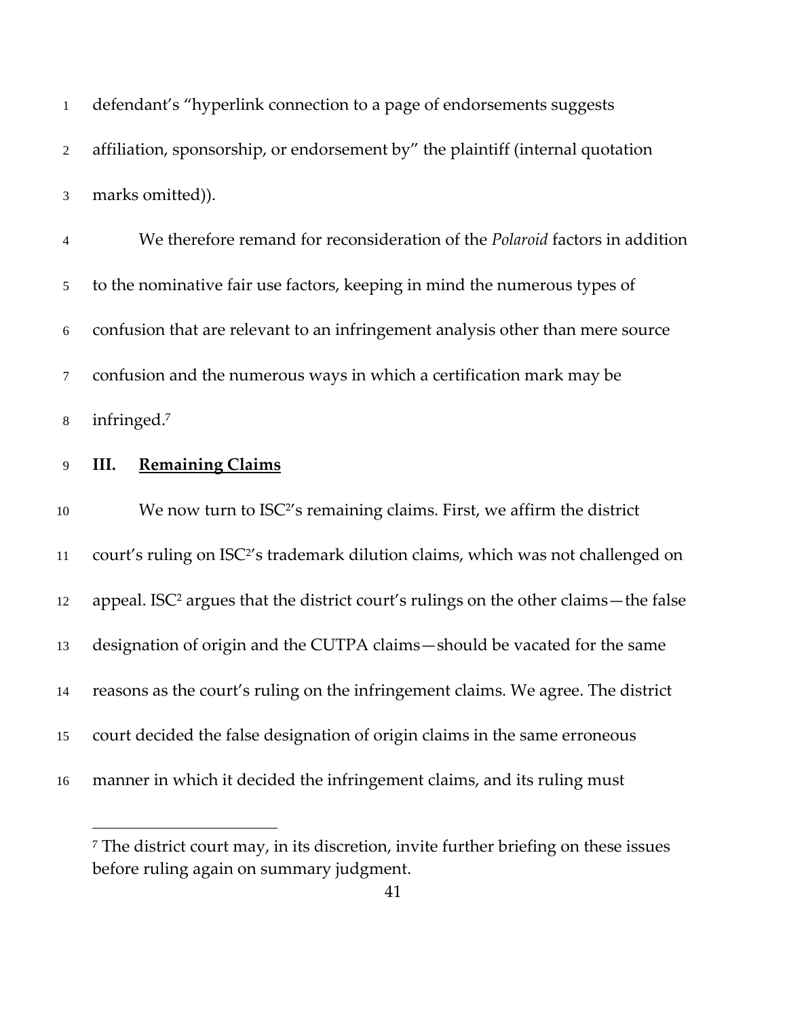| $\mathbf{1}$    | defendant's "hyperlink connection to a page of endorsements suggests                            |
|-----------------|-------------------------------------------------------------------------------------------------|
| 2               | affiliation, sponsorship, or endorsement by" the plaintiff (internal quotation                  |
| 3               | marks omitted)).                                                                                |
| $\overline{4}$  | We therefore remand for reconsideration of the <i>Polaroid</i> factors in addition              |
| $5\overline{)}$ | to the nominative fair use factors, keeping in mind the numerous types of                       |
| 6               | confusion that are relevant to an infringement analysis other than mere source                  |
| $\tau$          | confusion and the numerous ways in which a certification mark may be                            |
| $8\,$           | infringed.7                                                                                     |
| 9               | <b>Remaining Claims</b><br>III.                                                                 |
|                 |                                                                                                 |
| 10              | We now turn to ISC <sup>2'</sup> s remaining claims. First, we affirm the district              |
| 11              | court's ruling on ISC <sup>2'</sup> s trademark dilution claims, which was not challenged on    |
| 12              | appeal. ISC <sup>2</sup> argues that the district court's rulings on the other claims-the false |
| 13              | designation of origin and the CUTPA claims-should be vacated for the same                       |
| 14              | reasons as the court's ruling on the infringement claims. We agree. The district                |
| 15              | court decided the false designation of origin claims in the same erroneous                      |
| 16              | manner in which it decided the infringement claims, and its ruling must                         |

 $^7$  The district court may, in its discretion, invite further briefing on these issues before ruling again on summary judgment.